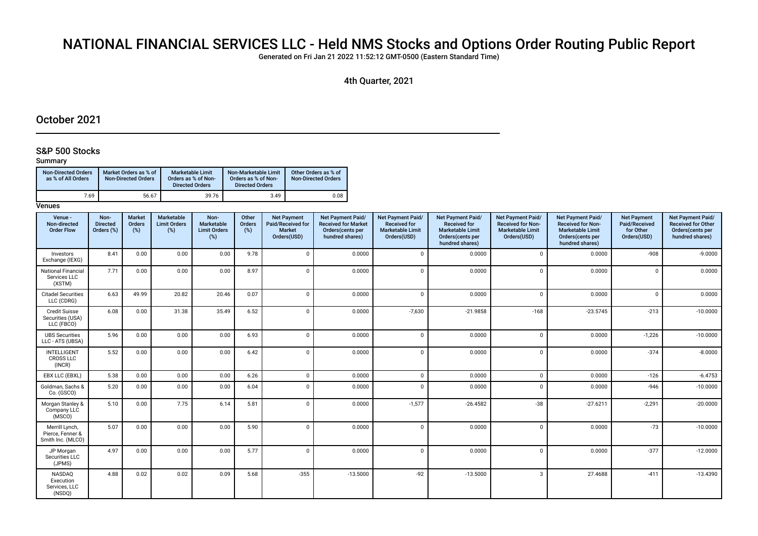# NATIONAL FINANCIAL SERVICES LLC - Held NMS Stocks and Options Order Routing Public Report

Generated on Fri Jan 21 2022 11:52:12 GMT-0500 (Eastern Standard Time)

## 4th Quarter, 2021

## October 2021

## S&P 500 Stocks

## Summary

| <b>Non-Directed Orders</b><br>as % of All Orders | Market Orders as % of<br><b>Non-Directed Orders</b> | Marketable Limit<br>Orders as % of Non-<br><b>Directed Orders</b> | Non-Marketable Limit<br>Orders as % of Non-<br><b>Directed Orders</b> | Other Orders as % of<br><b>Non-Directed Orders</b> |
|--------------------------------------------------|-----------------------------------------------------|-------------------------------------------------------------------|-----------------------------------------------------------------------|----------------------------------------------------|
| 7.69                                             | 56.67                                               | 39.76                                                             | 3.49                                                                  | 0.08                                               |

| Venue -<br>Non-directed<br><b>Order Flow</b>            | Non-<br><b>Directed</b><br>Orders (%) | <b>Market</b><br>Orders<br>(%) | Marketable<br><b>Limit Orders</b><br>$(\%)$ | Non-<br>Marketable<br><b>Limit Orders</b><br>$(\%)$ | Other<br>Orders<br>(%) | <b>Net Payment</b><br>Paid/Received for<br><b>Market</b><br>Orders(USD) | Net Payment Paid/<br><b>Received for Market</b><br>Orders (cents per<br>hundred shares) | Net Payment Paid/<br><b>Received for</b><br><b>Marketable Limit</b><br>Orders(USD) | Net Payment Paid/<br><b>Received for</b><br><b>Marketable Limit</b><br>Orders(cents per<br>hundred shares) | Net Payment Paid/<br>Received for Non-<br><b>Marketable Limit</b><br>Orders(USD) | Net Payment Paid/<br><b>Received for Non-</b><br><b>Marketable Limit</b><br>Orders(cents per<br>hundred shares) | <b>Net Payment</b><br>Paid/Received<br>for Other<br>Orders(USD) | Net Payment Paid/<br><b>Received for Other</b><br>Orders(cents per<br>hundred shares) |
|---------------------------------------------------------|---------------------------------------|--------------------------------|---------------------------------------------|-----------------------------------------------------|------------------------|-------------------------------------------------------------------------|-----------------------------------------------------------------------------------------|------------------------------------------------------------------------------------|------------------------------------------------------------------------------------------------------------|----------------------------------------------------------------------------------|-----------------------------------------------------------------------------------------------------------------|-----------------------------------------------------------------|---------------------------------------------------------------------------------------|
| Investors<br>Exchange (IEXG)                            | 8.41                                  | 0.00                           | 0.00                                        | 0.00                                                | 9.78                   | $\mathbf 0$                                                             | 0.0000                                                                                  | $\mathbf 0$                                                                        | 0.0000                                                                                                     | $\mathbf 0$                                                                      | 0.0000                                                                                                          | $-908$                                                          | $-9.0000$                                                                             |
| <b>National Financial</b><br>Services LLC<br>(XSTM)     | 7.71                                  | 0.00                           | 0.00                                        | 0.00                                                | 8.97                   | $\mathbf 0$                                                             | 0.0000                                                                                  | $\Omega$                                                                           | 0.0000                                                                                                     | $\Omega$                                                                         | 0.0000                                                                                                          | $\Omega$                                                        | 0.0000                                                                                |
| <b>Citadel Securities</b><br>LLC (CDRG)                 | 6.63                                  | 49.99                          | 20.82                                       | 20.46                                               | 0.07                   | $\mathbf 0$                                                             | 0.0000                                                                                  | $\Omega$                                                                           | 0.0000                                                                                                     | $\mathbf{0}$                                                                     | 0.0000                                                                                                          | $\Omega$                                                        | 0.0000                                                                                |
| <b>Credit Suisse</b><br>Securities (USA)<br>LLC (FBCO)  | 6.08                                  | 0.00                           | 31.38                                       | 35.49                                               | 6.52                   | $\mathbf 0$                                                             | 0.0000                                                                                  | $-7,630$                                                                           | $-21.9858$                                                                                                 | $-168$                                                                           | $-23.5745$                                                                                                      | $-213$                                                          | $-10.0000$                                                                            |
| <b>UBS Securities</b><br>LLC - ATS (UBSA)               | 5.96                                  | 0.00                           | 0.00                                        | 0.00                                                | 6.93                   | $\mathbf 0$                                                             | 0.0000                                                                                  | $\mathbf 0$                                                                        | 0.0000                                                                                                     | $\mathbf{0}$                                                                     | 0.0000                                                                                                          | $-1,226$                                                        | $-10.0000$                                                                            |
| INTELLIGENT<br><b>CROSS LLC</b><br>(INCR)               | 5.52                                  | 0.00                           | 0.00                                        | 0.00                                                | 6.42                   | $\mathbf 0$                                                             | 0.0000                                                                                  | $\mathbf 0$                                                                        | 0.0000                                                                                                     | $\Omega$                                                                         | 0.0000                                                                                                          | $-374$                                                          | $-8.0000$                                                                             |
| EBX LLC (EBXL)                                          | 5.38                                  | 0.00                           | 0.00                                        | 0.00                                                | 6.26                   | $\mathbf 0$                                                             | 0.0000                                                                                  | $\Omega$                                                                           | 0.0000                                                                                                     | $\Omega$                                                                         | 0.0000                                                                                                          | $-126$                                                          | $-6.4753$                                                                             |
| Goldman, Sachs &<br>Co. (GSCO)                          | 5.20                                  | 0.00                           | 0.00                                        | 0.00                                                | 6.04                   | $\mathbf 0$                                                             | 0.0000                                                                                  | $\Omega$                                                                           | 0.0000                                                                                                     | $\Omega$                                                                         | 0.0000                                                                                                          | $-946$                                                          | $-10.0000$                                                                            |
| Morgan Stanley &<br>Company LLC<br>(MSCO)               | 5.10                                  | 0.00                           | 7.75                                        | 6.14                                                | 5.81                   | $\mathbf 0$                                                             | 0.0000                                                                                  | $-1,577$                                                                           | $-26.4582$                                                                                                 | $-38$                                                                            | $-27.6211$                                                                                                      | $-2,291$                                                        | $-20.0000$                                                                            |
| Merrill Lynch,<br>Pierce, Fenner &<br>Smith Inc. (MLCO) | 5.07                                  | 0.00                           | 0.00                                        | 0.00                                                | 5.90                   | $\mathbf 0$                                                             | 0.0000                                                                                  | $\mathbf 0$                                                                        | 0.0000                                                                                                     | $\mathbf{0}$                                                                     | 0.0000                                                                                                          | $-73$                                                           | $-10.0000$                                                                            |
| JP Morgan<br>Securities LLC<br>(JPMS)                   | 4.97                                  | 0.00                           | 0.00                                        | 0.00                                                | 5.77                   | $\mathbf 0$                                                             | 0.0000                                                                                  | $\mathbf 0$                                                                        | 0.0000                                                                                                     | $\mathbf{0}$                                                                     | 0.0000                                                                                                          | $-377$                                                          | $-12.0000$                                                                            |
| NASDAQ<br>Execution<br>Services, LLC<br>(NSDQ)          | 4.88                                  | 0.02                           | 0.02                                        | 0.09                                                | 5.68                   | $-355$                                                                  | $-13.5000$                                                                              | $-92$                                                                              | $-13.5000$                                                                                                 | 3                                                                                | 27.4688                                                                                                         | $-411$                                                          | $-13.4390$                                                                            |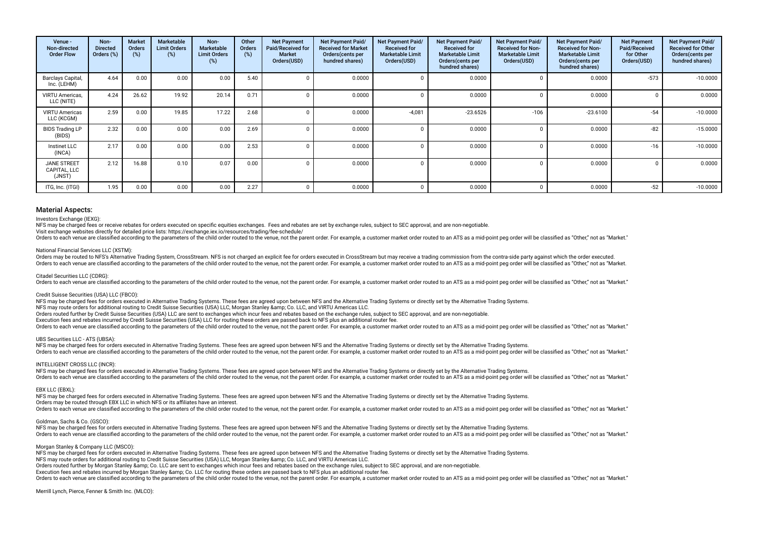| Venue -<br>Non-directed<br><b>Order Flow</b> | Non-<br><b>Directed</b><br>Orders (%) | <b>Market</b><br>Orders<br>(%) | Marketable<br><b>Limit Orders</b><br>(%) | Non-<br><b>Marketable</b><br><b>Limit Orders</b><br>(%) | Other<br>Orders<br>(%) | <b>Net Payment</b><br>Paid/Received for<br><b>Market</b><br>Orders(USD) | <b>Net Payment Paid/</b><br><b>Received for Market</b><br>Orders (cents per<br>hundred shares) | Net Payment Paid/<br><b>Received for</b><br><b>Marketable Limit</b><br>Orders(USD) | Net Payment Paid/<br><b>Received for</b><br><b>Marketable Limit</b><br>Orders (cents per<br>hundred shares) | Net Payment Paid/<br><b>Received for Non-</b><br><b>Marketable Limit</b><br>Orders(USD) | <b>Net Payment Paid/</b><br><b>Received for Non-</b><br><b>Marketable Limit</b><br>Orders(cents per<br>hundred shares) | <b>Net Payment</b><br>Paid/Received<br>for Other<br>Orders(USD) | Net Payment Paid/<br><b>Received for Other</b><br>Orders (cents per<br>hundred shares) |
|----------------------------------------------|---------------------------------------|--------------------------------|------------------------------------------|---------------------------------------------------------|------------------------|-------------------------------------------------------------------------|------------------------------------------------------------------------------------------------|------------------------------------------------------------------------------------|-------------------------------------------------------------------------------------------------------------|-----------------------------------------------------------------------------------------|------------------------------------------------------------------------------------------------------------------------|-----------------------------------------------------------------|----------------------------------------------------------------------------------------|
| Barclays Capital,<br>Inc. (LEHM)             | 4.64                                  | 0.00                           | 0.00                                     | 0.00                                                    | 5.40                   |                                                                         | 0.0000                                                                                         |                                                                                    | 0.0000                                                                                                      |                                                                                         | 0.0000                                                                                                                 | $-573$                                                          | $-10.0000$                                                                             |
| VIRTU Americas,<br>LLC (NITE)                | 4.24                                  | 26.62                          | 19.92                                    | 20.14                                                   | 0.71                   |                                                                         | 0.0000                                                                                         |                                                                                    | 0.0000                                                                                                      |                                                                                         | 0.0000                                                                                                                 |                                                                 | 0.0000                                                                                 |
| <b>VIRTU Americas</b><br>LLC (KCGM)          | 2.59                                  | 0.00                           | 19.85                                    | 17.22                                                   | 2.68                   |                                                                         | 0.0000                                                                                         | $-4,081$                                                                           | $-23.6526$                                                                                                  | $-106$                                                                                  | $-23.6100$                                                                                                             | $-54$                                                           | $-10.0000$                                                                             |
| <b>BIDS Trading LP</b><br>(BIDS)             | 2.32                                  | 0.00                           | 0.00                                     | 0.00                                                    | 2.69                   |                                                                         | 0.0000                                                                                         |                                                                                    | 0.0000                                                                                                      |                                                                                         | 0.0000                                                                                                                 | $-82$                                                           | $-15.0000$                                                                             |
| <b>Instinet LLC</b><br>(INCA)                | 2.17                                  | 0.00                           | 0.00                                     | 0.00                                                    | 2.53                   |                                                                         | 0.0000                                                                                         |                                                                                    | 0.0000                                                                                                      |                                                                                         | 0.0000                                                                                                                 | $-16$                                                           | $-10.0000$                                                                             |
| <b>JANE STREET</b><br>CAPITAL, LLC<br>(JNST) | 2.12                                  | 16.88                          | 0.10                                     | 0.07                                                    | 0.00                   |                                                                         | 0.0000                                                                                         |                                                                                    | 0.0000                                                                                                      |                                                                                         | 0.0000                                                                                                                 |                                                                 | 0.0000                                                                                 |
| ITG, Inc. (ITGI)                             | 1.95                                  | 0.00                           | 0.00                                     | 0.00                                                    | 2.27                   |                                                                         | 0.0000                                                                                         |                                                                                    | 0.0000                                                                                                      |                                                                                         | 0.0000                                                                                                                 | $-52$                                                           | $-10.0000$                                                                             |

Investors Exchange (IEXG):

NFS may be charged fees or receive rebates for orders executed on specific equities exchanges. Fees and rebates are set by exchange rules, subject to SEC approval, and are non-negotiable.

Visit exchange websites directly for detailed price lists: https://exchange.iex.io/resources/trading/fee-schedule/

Orders to each venue are classified according to the parameters of the child order routed to the venue, not the parent order. For example, a customer market order routed to an ATS as a mid-point peg order will be classifie

## National Financial Services LLC (XSTM):

Orders may be routed to NFS's Alternative Trading System, CrossStream. NFS is not charged an explicit fee for orders executed in CrossStream but may receive a trading commission from the contra-side party against which the Orders to each venue are classified according to the parameters of the child order routed to the venue, not the parent order. For example, a customer market order routed to an ATS as a mid-point peg order will be classifie

## Citadel Securities LLC (CDRG):

Orders to each venue are classified according to the parameters of the child order routed to the venue, not the parent order. For example, a customer market order routed to an ATS as a mid-point peg order will be classifie

#### Credit Suisse Securities (USA) LLC (FBCO):

NFS may be charged fees for orders executed in Alternative Trading Systems. These fees are agreed upon between NFS and the Alternative Trading Systems or directly set by the Alternative Trading Systems.

NFS may route orders for additional routing to Credit Suisse Securities (USA) LLC, Morgan Stanley & amp: Co. LLC, and VIRTU Americas LLC.

Orders routed further by Credit Suisse Securities (USA) LLC are sent to exchanges which incur fees and rebates based on the exchange rules, subject to SEC approval, and are non-negotiable.

Execution fees and rebates incurred by Credit Suisse Securities (USA) LLC for routing these orders are passed back to NFS plus an additional router fee.

Orders to each venue are classified according to the parameters of the child order routed to the venue, not the parent order. For example, a customer market order routed to an ATS as a mid-point peg order will be classifie

## UBS Securities LLC - ATS (UBSA):

NFS may be charged fees for orders executed in Alternative Trading Systems. These fees are agreed upon between NFS and the Alternative Trading Systems or directly set by the Alternative Trading Systems or directly set by t Orders to each venue are classified according to the parameters of the child order routed to the venue, not the parent order. For example, a customer market order routed to an ATS as a mid-point peg order will be classifie

## INTELLIGENT CROSS LLC (INCR):

NFS may be charged fees for orders executed in Alternative Trading Systems. These fees are agreed upon between NFS and the Alternative Trading Systems or directly set by the Alternative Trading Systems or directly set by t Orders to each venue are classified according to the parameters of the child order routed to the venue, not the parent order. For example, a customer market order routed to an ATS as a mid-point peg order will be classifie

## EBX LLC (EBXL):

NFS may be charged fees for orders executed in Alternative Trading Systems. These fees are agreed upon between NFS and the Alternative Trading Systems or directly set by the Alternative Trading Systems or directly set by t Orders may be routed through EBX LLC in which NFS or its afliates have an interest. Orders to each venue are classified according to the parameters of the child order routed to the venue, not the parent order. For example, a customer market order routed to an ATS as a mid-point peg order will be classifie

#### Goldman, Sachs & Co. (GSCO):

NFS may be charged fees for orders executed in Alternative Trading Systems. These fees are agreed upon between NFS and the Alternative Trading Systems or directly set by the Alternative Trading Systems or directly set by t Orders to each venue are classified according to the parameters of the child order routed to the venue, not the parent order. For example, a customer market order routed to an ATS as a mid-point peg order will be classifie

## Morgan Stanley & Company LLC (MSCO):

NFS may be charged fees for orders executed in Alternative Trading Systems. These fees are agreed upon between NFS and the Alternative Trading Systems or directly set by the Alternative Trading Systems. NFS may route orders for additional routing to Credit Suisse Securities (USA) LLC, Morgan Stanley & Co. LLC, and VIRTU Americas LLC. Orders routed further by Morgan Stanley & amp; Co. LLC are sent to exchanges which incur fees and rebates based on the exchange rules, subject to SEC approval, and are non-negotiable. Execution fees and rebates incurred by Morgan Stanley & amp; Co. LLC for routing these orders are passed back to NFS plus an additional router fee. Orders to each venue are classified according to the parameters of the child order routed to the venue, not the parent order. For example, a customer market order routed to an ATS as a mid-point peg order will be classifie

Merrill Lynch, Pierce, Fenner & Smith Inc. (MLCO):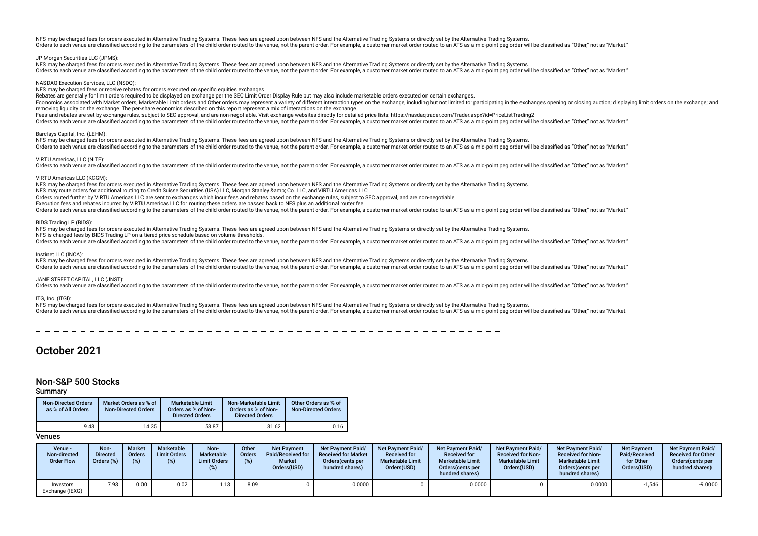NFS may be charged fees for orders executed in Alternative Trading Systems. These fees are agreed upon between NFS and the Alternative Trading Systems or directly set by the Alternative Trading Systems. Orders to each venue are classified according to the parameters of the child order routed to the venue, not the parent order. For example, a customer market order routed to an ATS as a mid-noint peg order will be classifie

JP Morgan Securities LLC (JPMS):

NFS may be charged fees for orders executed in Alternative Trading Systems. These fees are agreed upon between NFS and the Alternative Trading Systems or directly set by the Alternative Trading Systems. Orders to each venue are classified according to the parameters of the child order routed to the venue, not the parent order. For example, a customer market order routed to an ATS as a mid-point peg order will be classifie

NASDAQ Execution Services, LLC (NSDQ):

NFS may be charged fees or receive rebates for orders executed on specific equities exchanges

Rebates are generally for limit orders required to be displayed on exchange per the SEC Limit Order Display Rule but may also include marketable orders executed on certain exchanges.

Economics associated with Market orders, Marketable Limit orders and Other orders may represent a variety of different interaction types on the exchange, including but not limited to: participating in the exchange's openin removing liquidity on the exchange. The per-share economics described on this report represent a mix of interactions on the exchange.

Fees and rebates are set by exchange rules, subject to SEC approval, and are non-negotiable. Visit exchange websites directly for detailed price lists: https://nasdaqtrader.com/Trader.aspx?id=PriceListTrading2

Orders to each venue are classified according to the parameters of the child order routed to the venue, not the parent order. For example, a customer market order routed to an ATS as a mid-point peg order will be classifie

Barclays Capital, Inc. (LEHM):

NFS may be charged fees for orders executed in Alternative Trading Systems. These fees are agreed upon between NFS and the Alternative Trading Systems or directly set by the Alternative Trading Systems. Orders to each venue are classified according to the parameters of the child order routed to the venue, not the parent order. For example, a customer market order routed to an ATS as a mid-point peg order will be classifie

VIRTU Americas, LLC (NITE):

Orders to each venue are classified according to the parameters of the child order routed to the venue, not the parent order. For example, a customer market order routed to an ATS as a mid-point peg order will be classifie

### VIRTU Americas LLC (KCGM):

NFS may be charged fees for orders executed in Alternative Trading Systems. These fees are agreed upon between NFS and the Alternative Trading Systems or directly set by the Alternative Trading Systems. NFS may route orders for additional routing to Credit Suisse Securities (USA) LLC, Morgan Stanley & amp; Co. LLC, and VIRTU Americas LLC. Orders routed further by VIRTU Americas LLC are sent to exchanges which incur fees and rebates based on the exchange rules, subject to SEC approval, and are non-negotiable. Execution fees and rebates incurred by VIRTU Americas LLC for routing these orders are passed back to NFS plus an additional router fee. Didensity of the parameters of the child order routed to the venue, not the parent order. For example, a customer market order routed to an ATS as a mid-point peg order will be classified as "Other," not as "Market."

### BIDS Trading LP (BIDS):

NFS may be charged fees for orders executed in Alternative Trading Systems. These fees are agreed upon between NFS and the Alternative Trading Systems or directly set by the Alternative Trading Systems. NFS is charged fees by BIDS Trading LP on a tiered price schedule based on volume thresholds.

Orders to each venue are classified according to the parameters of the child order routed to the venue, not the parent order. For example, a customer market order routed to an ATS as a mid-point peg order will be classifie

Instinet LLC (INCA):

NFS may be charged fees for orders executed in Alternative Trading Systems. These fees are agreed upon between NFS and the Alternative Trading Systems or directly set by the Alternative Trading Systems or directly set by t The saided according to the parameters of the child order routed to the yenue not the parameter Soft and the version of the version of the parameter of the version of the school of the version of the school of the paramete

## JANE STREET CAPITAL, LLC (JNST):

Orders to each venue are classified according to the parameters of the child order routed to the venue, not the parent order. For example, a customer market order routed to an ATS as a mid-point peg order will be classifie

ITG, Inc. (ITGI):

NFS may be charged fees for orders executed in Alternative Trading Systems. These fees are agreed upon between NFS and the Alternative Trading Systems or directly set by the Alternative Trading Systems. Orders to each venue are classified according to the parameters of the child order routed to the venue, not the parent order. For example, a customer market order routed to an ATS as a mid-point peg order will be classifie

## October 2021

## Non-S&P 500 Stocks

## Summary

| <b>Non-Directed Orders</b><br>as % of All Orders | Market Orders as % of<br><b>Non-Directed Orders</b> | <b>Marketable Limit</b><br>Orders as % of Non-<br><b>Directed Orders</b> | Non-Marketable Limit<br>Orders as % of Non-<br><b>Directed Orders</b> | Other Orders as % of<br><b>Non-Directed Orders</b> |
|--------------------------------------------------|-----------------------------------------------------|--------------------------------------------------------------------------|-----------------------------------------------------------------------|----------------------------------------------------|
| 9.43                                             | 14.35                                               | 53.87                                                                    | 31.62                                                                 | 0.16                                               |

| Venue -<br>Non-directed<br><b>Order Flow</b> | Non-<br><b>Directed</b><br>Orders $(\%)$ | Market<br>Orders | Marketable<br><b>Limit Orders</b><br>(%) | Non-<br><b>Marketable</b><br><b>Limit Orders</b> | Other<br><b>Orders</b><br>$(\%)$ | Net Payment<br>Paid/Received for<br><b>Market</b><br>Orders(USD) | <b>Net Payment Paid/</b><br><b>Received for Market</b><br>Orders (cents per<br>hundred shares) | <b>Net Payment Paid/</b><br><b>Received for</b><br><b>Marketable Limit</b><br>Orders(USD) | <b>Net Payment Paid/</b><br><b>Received for</b><br><b>Marketable Limit</b><br>Orders (cents per<br>hundred shares) | <b>Net Payment Paid/</b><br><b>Received for Non-</b><br><b>Marketable Limit</b><br>Orders(USD) | <b>Net Payment Paid/</b><br><b>Received for Non-</b><br><b>Marketable Limit</b><br>Orders (cents per<br>hundred shares) | <b>Net Payment</b><br>Paid/Received<br>for Other<br>Orders(USD) | <b>Net Payment Paid/</b><br><b>Received for Other</b><br>Orders(cents per<br>hundred shares) |
|----------------------------------------------|------------------------------------------|------------------|------------------------------------------|--------------------------------------------------|----------------------------------|------------------------------------------------------------------|------------------------------------------------------------------------------------------------|-------------------------------------------------------------------------------------------|--------------------------------------------------------------------------------------------------------------------|------------------------------------------------------------------------------------------------|-------------------------------------------------------------------------------------------------------------------------|-----------------------------------------------------------------|----------------------------------------------------------------------------------------------|
| Investors<br>Exchange (IEXG)                 | 7.93                                     | 0.00             | 0.02                                     | 1.13                                             | 8.09                             |                                                                  | 0.0000                                                                                         |                                                                                           | 0.0000                                                                                                             |                                                                                                | 0.0000                                                                                                                  | $-1,546$                                                        | $-9.0000$                                                                                    |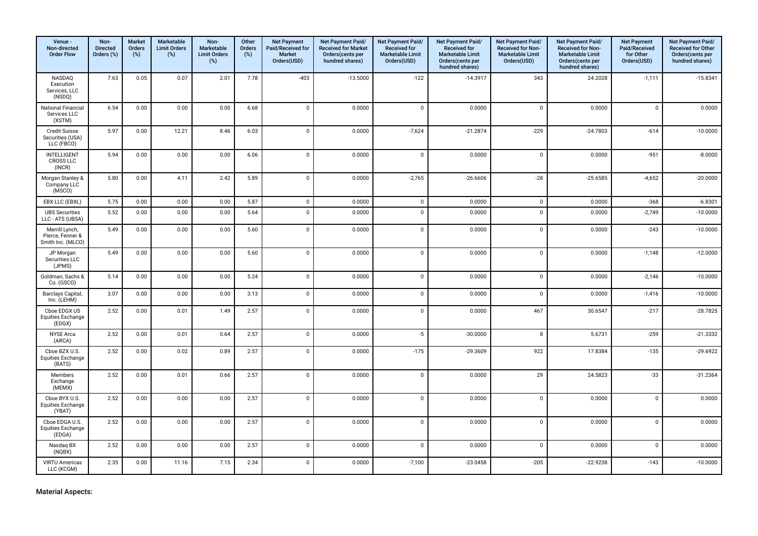| Venue -<br>Non-directed<br><b>Order Flow</b>            | Non-<br><b>Directed</b><br>Orders (%) | <b>Market</b><br>Orders<br>(%) | Marketable<br><b>Limit Orders</b><br>(%) | Non-<br>Marketable<br><b>Limit Orders</b><br>(%) | Other<br><b>Orders</b><br>$(\%)$ | <b>Net Payment</b><br>Paid/Received for<br><b>Market</b><br>Orders(USD) | Net Payment Paid/<br><b>Received for Market</b><br>Orders(cents per<br>hundred shares) | Net Payment Paid/<br><b>Received for</b><br>Marketable Limit<br>Orders(USD) | Net Payment Paid/<br><b>Received for</b><br><b>Marketable Limit</b><br>Orders(cents per<br>hundred shares) | Net Payment Paid/<br>Received for Non-<br><b>Marketable Limit</b><br>Orders(USD) | Net Payment Paid/<br>Received for Non-<br><b>Marketable Limit</b><br>Orders(cents per<br>hundred shares) | <b>Net Payment</b><br>Paid/Received<br>for Other<br>Orders(USD) | Net Payment Paid/<br>Received for Other<br>Orders(cents per<br>hundred shares) |
|---------------------------------------------------------|---------------------------------------|--------------------------------|------------------------------------------|--------------------------------------------------|----------------------------------|-------------------------------------------------------------------------|----------------------------------------------------------------------------------------|-----------------------------------------------------------------------------|------------------------------------------------------------------------------------------------------------|----------------------------------------------------------------------------------|----------------------------------------------------------------------------------------------------------|-----------------------------------------------------------------|--------------------------------------------------------------------------------|
| <b>NASDAO</b><br>Execution<br>Services, LLC<br>(NSDQ)   | 7.63                                  | 0.05                           | 0.07                                     | 2.01                                             | 7.78                             | $-403$                                                                  | $-13.5000$                                                                             | $-122$                                                                      | $-14.3917$                                                                                                 | 343                                                                              | 24.2028                                                                                                  | $-1,111$                                                        | $-15.8341$                                                                     |
| National Financial<br>Services LLC<br>(XSTM)            | 6.54                                  | 0.00                           | 0.00                                     | 0.00                                             | 6.68                             | $\mathbf 0$                                                             | 0.0000                                                                                 | $\mathbf 0$                                                                 | 0.0000                                                                                                     | $\mathbf 0$                                                                      | 0.0000                                                                                                   | $\mathbf 0$                                                     | 0.0000                                                                         |
| <b>Credit Suisse</b><br>Securities (USA)<br>LLC (FBCO)  | 5.97                                  | 0.00                           | 12.21                                    | 8.46                                             | 6.03                             | $\mathsf 0$                                                             | 0.0000                                                                                 | $-7,624$                                                                    | $-21.2874$                                                                                                 | $-229$                                                                           | $-24.7803$                                                                                               | $-614$                                                          | $-10.0000$                                                                     |
| <b>INTELLIGENT</b><br>CROSS LLC<br>(INCR)               | 5.94                                  | 0.00                           | 0.00                                     | 0.00                                             | 6.06                             | $\mathbf 0$                                                             | 0.0000                                                                                 | $\mathbf 0$                                                                 | 0.0000                                                                                                     | $\mathbf 0$                                                                      | 0.0000                                                                                                   | $-951$                                                          | $-8.0000$                                                                      |
| Morgan Stanley &<br>Company LLC<br>(MSCO)               | 5.80                                  | 0.00                           | 4.11                                     | 2.42                                             | 5.89                             | $\mathsf 0$                                                             | 0.0000                                                                                 | $-2,765$                                                                    | $-26.6606$                                                                                                 | $-28$                                                                            | $-25.6585$                                                                                               | $-4,652$                                                        | $-20.0000$                                                                     |
| EBX LLC (EBXL)                                          | 5.75                                  | 0.00                           | 0.00                                     | 0.00                                             | 5.87                             | $\mathsf{O}$                                                            | 0.0000                                                                                 | $\pmb{0}$                                                                   | 0.0000                                                                                                     | $\mathbf 0$                                                                      | 0.0000                                                                                                   | $-368$                                                          | $-6.8301$                                                                      |
| <b>UBS Securities</b><br>LLC - ATS (UBSA)               | 5.52                                  | 0.00                           | 0.00                                     | 0.00                                             | 5.64                             | $\mathbf 0$                                                             | 0.0000                                                                                 | $\mathbf 0$                                                                 | 0.0000                                                                                                     | $\mathbf 0$                                                                      | 0.0000                                                                                                   | $-2,749$                                                        | $-10.0000$                                                                     |
| Merrill Lynch,<br>Pierce, Fenner &<br>Smith Inc. (MLCO) | 5.49                                  | 0.00                           | 0.00                                     | 0.00                                             | 5.60                             | $\mathbf 0$                                                             | 0.0000                                                                                 | $\mathbf 0$                                                                 | 0.0000                                                                                                     | $\mathbf 0$                                                                      | 0.0000                                                                                                   | $-243$                                                          | $-10.0000$                                                                     |
| JP Morgan<br>Securities LLC<br>(JPMS)                   | 5.49                                  | 0.00                           | 0.00                                     | 0.00                                             | 5.60                             | $\mathsf 0$                                                             | 0.0000                                                                                 | $\mathbf 0$                                                                 | 0.0000                                                                                                     | $\mathsf 0$                                                                      | 0.0000                                                                                                   | $-1,148$                                                        | $-12.0000$                                                                     |
| Goldman, Sachs &<br>Co. (GSCO)                          | 5.14                                  | 0.00                           | 0.00                                     | 0.00                                             | 5.24                             | $\mathsf 0$                                                             | 0.0000                                                                                 | $\mathbf 0$                                                                 | 0.0000                                                                                                     | $\mathsf 0$                                                                      | 0.0000                                                                                                   | $-2,146$                                                        | $-10.0000$                                                                     |
| Barclays Capital,<br>Inc. (LEHM)                        | 3.07                                  | 0.00                           | 0.00                                     | 0.00                                             | 3.13                             | $\mathsf 0$                                                             | 0.0000                                                                                 | $\pmb{0}$                                                                   | 0.0000                                                                                                     | $\pmb{0}$                                                                        | 0.0000                                                                                                   | $-1,416$                                                        | $-10.0000$                                                                     |
| Cboe EDGX US<br><b>Equities Exchange</b><br>(EDGX)      | 2.52                                  | 0.00                           | 0.01                                     | 1.49                                             | 2.57                             | $\mathbf 0$                                                             | 0.0000                                                                                 | $\mathbf 0$                                                                 | 0.0000                                                                                                     | 467                                                                              | 30.6547                                                                                                  | $-217$                                                          | $-28.7825$                                                                     |
| <b>NYSE</b> Arca<br>(ARCA)                              | 2.52                                  | 0.00                           | 0.01                                     | 0.64                                             | 2.57                             | $\mathbf 0$                                                             | 0.0000                                                                                 | $-5$                                                                        | $-30.0000$                                                                                                 | 8                                                                                | 5.6731                                                                                                   | $-259$                                                          | $-21.3332$                                                                     |
| Cboe BZX U.S.<br>Equities Exchange<br>(BATS)            | 2.52                                  | 0.00                           | 0.02                                     | 0.89                                             | 2.57                             | $\mathbf 0$                                                             | 0.0000                                                                                 | $-175$                                                                      | $-29.3609$                                                                                                 | 922                                                                              | 17.8384                                                                                                  | $-135$                                                          | $-29.6922$                                                                     |
| Members<br>Exchange<br>(MEMX)                           | 2.52                                  | 0.00                           | 0.01                                     | 0.66                                             | 2.57                             | $\mathsf 0$                                                             | 0.0000                                                                                 | $\pmb{0}$                                                                   | 0.0000                                                                                                     | 29                                                                               | 24.5823                                                                                                  | $-33$                                                           | $-31.2364$                                                                     |
| Cboe BYX U.S.<br>Equities Exchange<br>(YBAT)            | 2.52                                  | 0.00                           | 0.00                                     | 0.00                                             | 2.57                             | $\mathsf 0$                                                             | 0.0000                                                                                 | $\pmb{0}$                                                                   | 0.0000                                                                                                     | $\pmb{0}$                                                                        | 0.0000                                                                                                   | $\mathbf 0$                                                     | 0.0000                                                                         |
| Cboe EDGA U.S.<br><b>Equities Exchange</b><br>(EDGA)    | 2.52                                  | 0.00                           | 0.00                                     | 0.00                                             | 2.57                             | $\mathbf 0$                                                             | 0.0000                                                                                 | $\mathbf 0$                                                                 | 0.0000                                                                                                     | $\mathbf 0$                                                                      | 0.0000                                                                                                   | $\mathbf 0$                                                     | 0.0000                                                                         |
| Nasdaq BX<br>(NQBX)                                     | 2.52                                  | 0.00                           | 0.00                                     | 0.00                                             | 2.57                             | $\pmb{0}$                                                               | 0.0000                                                                                 | $\mathbf 0$                                                                 | 0.0000                                                                                                     | $\mathsf 0$                                                                      | 0.0000                                                                                                   | $\mathbf 0$                                                     | 0.0000                                                                         |
| <b>VIRTU Americas</b><br>LLC (KCGM)                     | 2.35                                  | 0.00                           | 11.16                                    | 7.15                                             | 2.34                             | $\mathbf 0$                                                             | 0.0000                                                                                 | $-7,100$                                                                    | $-23.0458$                                                                                                 | $-205$                                                                           | $-22.9238$                                                                                               | $-143$                                                          | $-10.0000$                                                                     |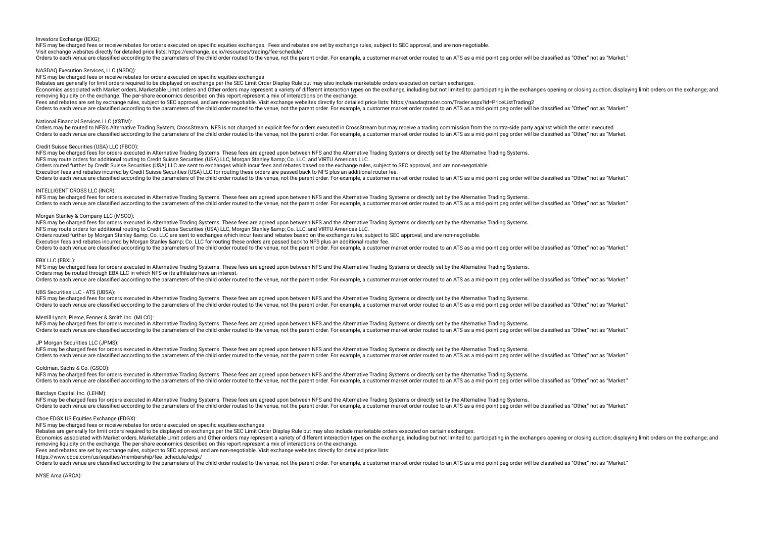### Investors Exchange (IEXG):

NFS may be charged fees or receive rebates for orders executed on specifc equities exchanges. Fees and rebates are set by exchange rules, subject to SEC approval, and are non-negotiable.

Visit exchange websites directly for detailed price lists: https://exchange.iex.io/resources/trading/fee-schedule/

Orders to each venue are classified according to the parameters of the child order routed to the venue, not the parent order. For example, a customer market order routed to an ATS as a mid-point peg order will be classifie

#### NASDAQ Execution Services, LLC (NSDQ):

## NFS may be charged fees or receive rebates for orders executed on specific equities exchanges

Rebates are generally for limit orders required to be displayed on exchange per the SEC Limit Order Display Rule but may also include marketable orders executed on certain exchanges.

Economics associated with Market orders, Marketable Limit orders and Other orders may represent a variety of different interaction types on the exchange including but not limited to: participating in the exchange's opening removing liquidity on the exchange. The per-share economics described on this report represent a mix of interactions on the exchange.

Fees and rebates are set by exchange rules, subject to SEC approval, and are non-negotiable. Visit exchange websites directly for detailed price lists: https://nasdaqtrader.com/Trader.aspx?id=PriceListTrading2

Orders to each venue are classified according to the parameters of the child order routed to the venue, not the parent order. For example, a customer market order routed to an ATS as a mid-point peq order will be classifie

## National Financial Services LLC (XSTM):

Orders may be routed to NFS's Alternative Trading System, CrossStream. NFS is not charged an explicit fee for orders executed in CrossStream but may receive a trading commission from the contra-side party against which the Orders to each venue are classified according to the parameters of the child order routed to the venue, not the parent order. For example, a customer market order routed to an ATS as a mid-point peg order will be classifie

## Credit Suisse Securities (USA) LLC (FBCO):

NFS may be charged fees for orders executed in Alternative Trading Systems. These fees are agreed upon between NFS and the Alternative Trading Systems or directly set by the Alternative Trading Systems. NFS may route orders for additional routing to Credit Suisse Securities (USA) LLC, Morgan Stanley & amp: Co. LLC, and VIRTU Americas LLC. Orders routed further by Credit Suisse Securities (USA) LLC are sent to exchanges which incur fees and rebates based on the exchange rules, subject to SEC approval, and are non-negotiable. Execution fees and rebates incurred by Credit Suisse Securities (USA) LLC for routing these orders are passed back to NFS plus an additional router fee. Orders to each venue are classified according to the parameters of the child order routed to the venue, not the parent order. For example, a customer market order routed to an ATS as a mid-point peg order will be classifie

#### INTELLIGENT CROSS LLC (INCR):

NFS may be charged fees for orders executed in Alternative Trading Systems. These fees are agreed upon between NFS and the Alternative Trading Systems or directly set by the Alternative Trading Systems. Orders to each venue are classified according to the parameters of the child order routed to the venue, not the parent order. For example, a customer market order routed to an ATS as a mid-point peq order will be classifie

## Morgan Stanley & Company LLC (MSCO):

NFS may be charged fees for orders executed in Alternative Trading Systems. These fees are agreed upon between NFS and the Alternative Trading Systems or directly set by the Alternative Trading Systems or directly set by t NFS may route orders for additional routing to Credit Suisse Securities (USA) LLC, Morgan Stanley & amp: Co. LLC, and VIRTU Americas LLC. Orders routed further by Morgan Stanley & Co. LLC are sent to exchanges which incur fees and rebates based on the exchange rules, subject to SEC approval, and are non-negotiable. Execution fees and rebates incurred by Morgan Stanley & amp: Co. LLC for routing these orders are passed back to NFS plus an additional router fee. Orders to each venue are classified according to the parameters of the child order routed to the venue, not the parent order. For example, a customer market order routed to an ATS as a mid-point peg order will be classifie

### EBX LLC (EBXL):

NFS may be charged fees for orders executed in Alternative Trading Systems. These fees are agreed upon between NFS and the Alternative Trading Systems or directly set by the Alternative Trading Systems. Orders may be routed through EBX LLC in which NFS or its afliates have an interest. Orders to each venue are classified according to the parameters of the child order routed to the venue, not the parent order. For example, a customer market order routed to an ATS as a mid-point peg order will be classifie

## UBS Securities LLC - ATS (UBSA):

NFS may be charged fees for orders executed in Alternative Trading Systems. These fees are agreed upon between NFS and the Alternative Trading Systems or directly set by the Alternative Trading Systems. Orders to each venue are classified according to the parameters of the child order routed to the venue, not the parent order. For example, a customer market order routed to an ATS as a mid-point peg order will be classifie

## Merrill Lynch, Pierce, Fenner & Smith Inc. (MLCO):

NFS may be charged fees for orders executed in Alternative Trading Systems. These fees are agreed upon between NFS and the Alternative Trading Systems or directly set by the Alternative Trading Systems. Orders to each venue are classified according to the parameters of the child order routed to the venue, not the parent order. For example, a customer market order routed to an ATS as a mid-point peg order will be classifie

#### JP Morgan Securities LLC (JPMS):

NFS may be charged fees for orders executed in Alternative Trading Systems. These fees are agreed upon between NFS and the Alternative Trading Systems or directly set by the Alternative Trading Systems. Orders to each venue are classified according to the parameters of the child order routed to the venue, not the parent order. For example, a customer market order routed to an ATS as a mid-point peg order will be classifie

### Goldman, Sachs & Co. (GSCO):

NFS may be charged fees for orders executed in Alternative Trading Systems. These fees are agreed upon between NFS and the Alternative Trading Systems or directly set by the Alternative Trading Systems. Orders to each venue are classified according to the parameters of the child order routed to the venue, not the parent order. For example, a customer market order routed to an ATS as a mid-noint peg order will be classifie

#### Barclays Capital, Inc. (LEHM):

NFS may be charged fees for orders executed in Alternative Trading Systems. These fees are agreed upon between NFS and the Alternative Trading Systems or directly set by the Alternative Trading Systems. Orders to each venue are classified according to the parameters of the child order routed to the venue, not the parent order. For example, a customer market order routed to an ATS as a mid-point peg order will be classifie

## Choe EDGX US Equities Exchange (EDGX):

NFS may be charged fees or receive rebates for orders executed on specifc equities exchanges

Rebates are generally for limit orders required to be displayed on exchange per the SEC Limit Order Display Rule but may also include marketable orders executed on certain exchanges.

Economics associated with Market orders. Marketable Limit orders and Other orders may represent a variety of different interaction types on the exchange, including but not limited to: participating in the exchange's openin removing liquidity on the exchange. The per-share economics described on this report represent a mix of interactions on the exchange.

Fees and rebates are set by exchange rules, subject to SEC approval, and are non-negotiable. Visit exchange websites directly for detailed price lists:

https://www.cboe.com/us/equities/membership/fee\_schedule/edgx/

Orders to each venue are classified according to the parameters of the child order routed to the venue, not the parent order. For example, a customer market order routed to an ATS as a mid-point peg order will be classifie

NYSE Arca (ARCA):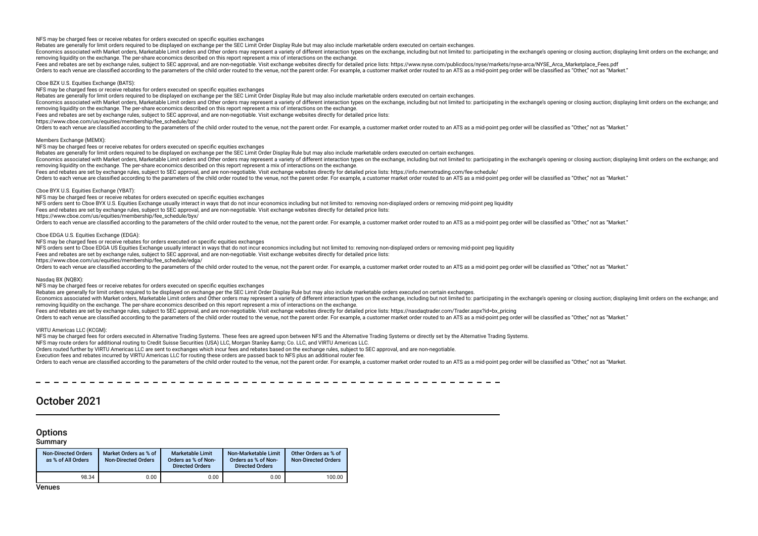NFS may be charged fees or receive rebates for orders executed on specifc equities exchanges

Rebates are generally for limit orders required to be displayed on exchange per the SEC Limit Order Display Rule but may also include marketable orders executed on certain exchanges.

Economics associated with Market orders, Marketable Limit orders and Other orders may represent a variety of different interaction types on the exchance, including but not limited to: participating in the exchance's openin removing liquidity on the exchange. The per-share economics described on this report represent a mix of interactions on the exchange.

Fees and rebates are set by exchange rules, subject to SEC approval, and are non-negotiable. Visit exchange websites directly for detailed price lists: https://www.nyse.com/publicdocs/nyse/markets/nyse-arca/NYSE\_Arca\_Marke

Orders to each venue are classified according to the parameters of the child order routed to the venue, not the parent order. For example, a customer market order routed to an ATS as a mid-point peg order will be classifie

Cboe BZX U.S. Equities Exchange (BATS):

NFS may be charged fees or receive rebates for orders executed on specifc equities exchanges

Rebates are generally for limit orders required to be displayed on exchange per the SEC Limit Order Display Rule but may also include marketable orders executed on certain exchanges.

Economics associated with Market orders, Marketable Limit orders and Other orders may represent a variety of different interaction types on the exchange, including but not limited to: participating in the exchange's openin removing liquidity on the exchange. The per-share economics described on this report represent a mix of interactions on the exchange.

Fees and rebates are set by exchange rules, subject to SEC approval, and are non-negotiable. Visit exchange websites directly for detailed price lists:

https://www.cboe.com/us/equities/membership/fee\_schedule/bzx/

Orders to each venue are classified according to the parameters of the child order routed to the venue, not the parent order. For example, a customer market order routed to an ATS as a mid-point peg order will be classifie

Members Exchange (MEMX):

NFS may be charged fees or receive rebates for orders executed on specifc equities exchanges

Rebates are generally for limit orders required to be displayed on exchange per the SEC Limit Order Display Rule but may also include marketable orders executed on certain exchanges.

Economics associated with Market orders, Marketable Limit orders and Other orders may represent a variety of different interaction types on the exchange, including but not limited to: participating in the exchange's openin removing liquidity on the exchange. The per-share economics described on this report represent a mix of interactions on the exchange.

Fees and rebates are set by exchange rules, subject to SEC approval, and are non-negotiable. Visit exchange websites directly for detailed price lists: https://info.memxtrading.com/fee-schedule/

Orders to each venue are classified according to the parameters of the child order routed to the venue, not the parent order. For example, a customer market order routed to an ATS as a mid-point peg order will be classifie

#### Cboe BYX U.S. Equities Exchange (YBAT):

NFS may be charged fees or receive rebates for orders executed on specifc equities exchanges

NFS orders sent to Cboe BYX U.S. Equities Exchange usually interact in ways that do not incur economics including but not limited to: removing non-displayed orders or removing mid-point peg liquidity

Fees and rebates are set by exchange rules, subject to SEC approval, and are non-negotiable. Visit exchange websites directly for detailed price lists:

https://www.cboe.com/us/equities/membership/fee\_schedule/byx/

Orders to each venue are classified according to the parameters of the child order routed to the venue, not the parent order. For example, a customer market order routed to an ATS as a mid-point peg order will be classifie

Cboe EDGA U.S. Equities Exchange (EDGA):

NFS may be charged fees or receive rebates for orders executed on specifc equities exchanges

NFS orders sent to Cboe EDGA US Equities Exchange usually interact in ways that do not incur economics including but not limited to: removing non-displayed orders or removing mid-point peg liquidity

Fees and rebates are set by exchange rules, subject to SEC approval, and are non-negotiable. Visit exchange websites directly for detailed price lists:

https://www.cboe.com/us/equities/membership/fee\_schedule/edga/

The parameters of the child order routed to the way to the protect from the parameters of the child order routed to the yenue pot the parent order. For example a customer market order routed to an ATS as a mid-point peo or

### Nasdag BX (NOBX):

NFS may be charged fees or receive rebates for orders executed on specifc equities exchanges

Rebates are generally for limit orders required to be displayed on exchange per the SEC Limit Order Display Rule but may also include marketable orders executed on certain exchanges.

Fronomics associated with Market orders. Marketable Limit orders and Other orders may represent a variety of different interaction types on the exchange including but not limited to: participation in the exchange's opening removing liquidity on the exchange. The per-share economics described on this report represent a mix of interactions on the exchange.

Fees and rebates are set by exchange rules, subject to SEC approval, and are non-negotiable. Visit exchange websites directly for detailed price lists: https://nasdagtrader.com/Trader.aspx?id=bx\_pricing

Orders to each venue are classified according to the parameters of the child order routed to the venue, not the parent order. For example, a customer market order routed to an ATS as a mid-point peg order will be classifie

VIRTU Americas LLC (KCGM):

NFS may be charged fees for orders executed in Alternative Trading Systems. These fees are agreed upon between NFS and the Alternative Trading Systems or directly set by the Alternative Trading Systems.

NFS may route orders for additional routing to Credit Suisse Securities (USA) LLC, Morgan Stanley & amp; Co. LLC, and VIRTU Americas LLC.

Orders routed further by VIRTU Americas LLC are sent to exchanges which incur fees and rebates based on the exchange rules, subject to SEC approval, and are non-negotiable.

Execution fees and rebates incurred by VIRTU Americas LLC for routing these orders are passed back to NFS plus an additional router fee.

Orders to each venue are classified according to the parameters of the child order routed to the yenue, not the parent order. For example, a customer market order routed to an ATS as a mid-point peg order will be classifie

#### 

## October 2021

#### **Options** Summary

| <b>JUILLIUS</b>                                  |                                                     |                                                                          |                                                                       |                                                    |
|--------------------------------------------------|-----------------------------------------------------|--------------------------------------------------------------------------|-----------------------------------------------------------------------|----------------------------------------------------|
| <b>Non-Directed Orders</b><br>as % of All Orders | Market Orders as % of<br><b>Non-Directed Orders</b> | <b>Marketable Limit</b><br>Orders as % of Non-<br><b>Directed Orders</b> | Non-Marketable Limit<br>Orders as % of Non-<br><b>Directed Orders</b> | Other Orders as % of<br><b>Non-Directed Orders</b> |
| 98.34                                            | 0.00                                                | 0.00                                                                     | 0.00                                                                  | 100.00                                             |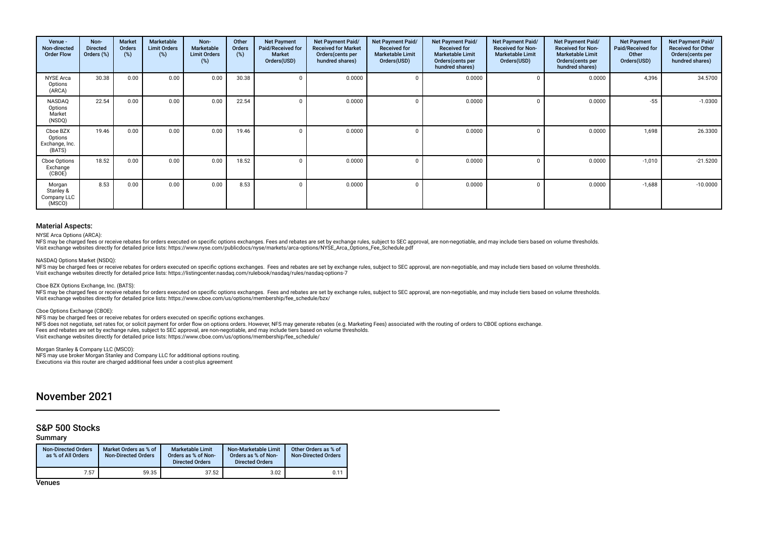| Venue -<br>Non-directed<br><b>Order Flow</b>    | Non-<br><b>Directed</b><br>Orders (%) | <b>Market</b><br>Orders<br>$(\%)$ | Marketable<br><b>Limit Orders</b><br>(%) | Non-<br><b>Marketable</b><br><b>Limit Orders</b><br>(%) | Other<br>Orders<br>(%) | <b>Net Payment</b><br>Paid/Received for<br><b>Market</b><br>Orders(USD) | Net Payment Paid/<br><b>Received for Market</b><br>Orders(cents per<br>hundred shares) | Net Payment Paid/<br><b>Received for</b><br><b>Marketable Limit</b><br>Orders(USD) | Net Payment Paid/<br><b>Received for</b><br><b>Marketable Limit</b><br>Orders(cents per<br>hundred shares) | Net Payment Paid/<br><b>Received for Non-</b><br><b>Marketable Limit</b><br>Orders(USD) | <b>Net Payment Paid/</b><br><b>Received for Non-</b><br><b>Marketable Limit</b><br>Orders (cents per<br>hundred shares) | <b>Net Payment</b><br>Paid/Received for<br>Other<br>Orders(USD) | Net Payment Paid/<br><b>Received for Other</b><br>Orders (cents per<br>hundred shares) |
|-------------------------------------------------|---------------------------------------|-----------------------------------|------------------------------------------|---------------------------------------------------------|------------------------|-------------------------------------------------------------------------|----------------------------------------------------------------------------------------|------------------------------------------------------------------------------------|------------------------------------------------------------------------------------------------------------|-----------------------------------------------------------------------------------------|-------------------------------------------------------------------------------------------------------------------------|-----------------------------------------------------------------|----------------------------------------------------------------------------------------|
| <b>NYSE Arca</b><br>Options<br>(ARCA)           | 30.38                                 | 0.00                              | 0.00                                     | 0.00                                                    | 30.38                  |                                                                         | 0.0000                                                                                 |                                                                                    | 0.0000                                                                                                     |                                                                                         | 0.0000                                                                                                                  | 4.396                                                           | 34.5700                                                                                |
| NASDAQ<br>Options<br>Market<br>(NSDQ)           | 22.54                                 | 0.00                              | 0.00                                     | 0.00                                                    | 22.54                  |                                                                         | 0.0000                                                                                 |                                                                                    | 0.0000                                                                                                     |                                                                                         | 0.0000                                                                                                                  | $-55$                                                           | $-1.0300$                                                                              |
| Cboe BZX<br>Options<br>Exchange, Inc.<br>(BATS) | 19.46                                 | 0.00                              | 0.00                                     | 0.00                                                    | 19.46                  |                                                                         | 0.0000                                                                                 |                                                                                    | 0.0000                                                                                                     |                                                                                         | 0.0000                                                                                                                  | 1,698                                                           | 26.3300                                                                                |
| Cboe Options<br>Exchange<br>(CBOE)              | 18.52                                 | 0.00                              | 0.00                                     | 0.00                                                    | 18.52                  |                                                                         | 0.0000                                                                                 |                                                                                    | 0.0000                                                                                                     |                                                                                         | 0.0000                                                                                                                  | $-1,010$                                                        | $-21.5200$                                                                             |
| Morgan<br>Stanley &<br>Company LLC<br>(MSCO)    | 8.53                                  | 0.00                              | 0.00                                     | 0.00                                                    | 8.53                   |                                                                         | 0.0000                                                                                 |                                                                                    | 0.0000                                                                                                     |                                                                                         | 0.0000                                                                                                                  | $-1,688$                                                        | $-10.0000$                                                                             |

## NYSE Arca Options (ARCA):

NFS may be charged fees or receive rebates for orders executed on specifc options exchanges. Fees and rebates are set by exchange rules, subject to SEC approval, are non-negotiable, and may include tiers based on volume thresholds. Visit exchange websites directly for detailed price lists: https://www.nyse.com/publicdocs/nyse/markets/arca-options/NYSE\_Arca\_Options\_Fee\_Schedule.pdf

## NASDAQ Options Market (NSDQ):

NFS may be charged fees or receive rebates for orders executed on specific options exchanges. Fees and rebates are set by exchange rules, subject to SEC approval, are non-negotiable, and may include tiers based on yolume t Visit exchange websites directly for detailed price lists: https://listingcenter.nasdaq.com/rulebook/nasdaq/rules/nasdaq-options-7

## Cboe BZX Options Exchange, Inc. (BATS):

NFS may be charged fees or receive rebates for orders executed on specific options exchanges. Fees and rebates are set by exchange rules, subject to SEC approval, are non-negotiable, and may include tiers based on volume t Visit exchange websites directly for detailed price lists: https://www.cboe.com/us/options/membership/fee\_schedule/bzx/

## Cboe Options Exchange (CBOE):

NFS may be charged fees or receive rebates for orders executed on specifc options exchanges. NFS does not negotiate, set rates for, or solicit payment for order fow on options orders. However, NFS may generate rebates (e.g. Marketing Fees) associated with the routing of orders to CBOE options exchange. Fees and rebates are set by exchange rules, subject to SEC approval, are non-negotiable, and may include tiers based on volume thresholds. Visit exchange websites directly for detailed price lists: https://www.cboe.com/us/options/membership/fee\_schedule/

Morgan Stanley & Company LLC (MSCO): NFS may use broker Morgan Stanley and Company LLC for additional options routing. Executions via this router are charged additional fees under a cost-plus agreement

## November 2021

## S&P 500 Stocks

## Summary

| <b>Non-Directed Orders</b><br>as % of All Orders | Market Orders as % of<br><b>Non-Directed Orders</b> | Marketable Limit<br>Orders as % of Non-<br><b>Directed Orders</b> | Non-Marketable Limit<br>Orders as % of Non-<br><b>Directed Orders</b> | Other Orders as % of<br><b>Non-Directed Orders</b> |
|--------------------------------------------------|-----------------------------------------------------|-------------------------------------------------------------------|-----------------------------------------------------------------------|----------------------------------------------------|
| 7.57                                             | 59.35                                               | 37.52                                                             | 3.02                                                                  | 0.11                                               |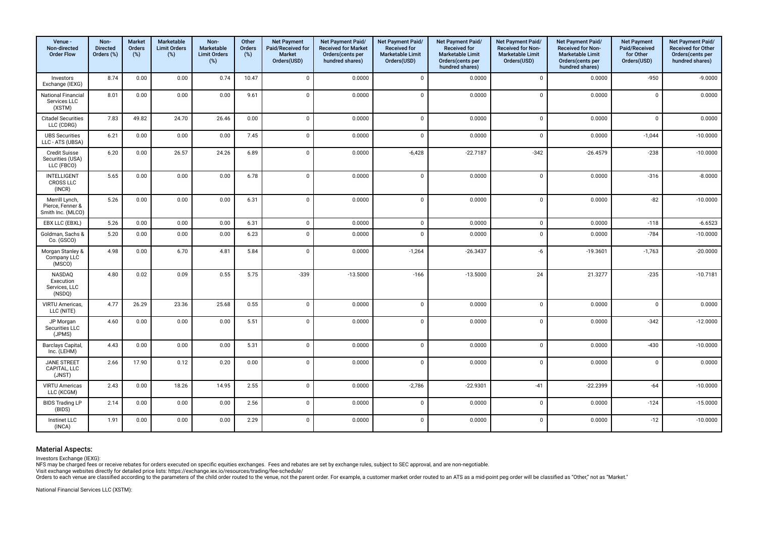| Venue -<br>Non-directed<br><b>Order Flow</b>            | Non-<br><b>Directed</b><br>Orders (%) | <b>Market</b><br>Orders<br>(%) | Marketable<br><b>Limit Orders</b><br>(%) | Non-<br>Marketable<br><b>Limit Orders</b><br>(%) | Other<br><b>Orders</b><br>(%) | <b>Net Payment</b><br>Paid/Received for<br><b>Market</b><br>Orders(USD) | Net Payment Paid/<br><b>Received for Market</b><br>Orders(cents per<br>hundred shares) | Net Payment Paid/<br><b>Received for</b><br><b>Marketable Limit</b><br>Orders(USD) | Net Payment Paid/<br><b>Received for</b><br><b>Marketable Limit</b><br>Orders(cents per<br>hundred shares) | Net Payment Paid/<br>Received for Non-<br><b>Marketable Limit</b><br>Orders(USD) | Net Payment Paid/<br><b>Received for Non-</b><br><b>Marketable Limit</b><br>Orders(cents per<br>hundred shares) | <b>Net Payment</b><br>Paid/Received<br>for Other<br>Orders(USD) | Net Payment Paid/<br>Received for Other<br>Orders(cents per<br>hundred shares) |
|---------------------------------------------------------|---------------------------------------|--------------------------------|------------------------------------------|--------------------------------------------------|-------------------------------|-------------------------------------------------------------------------|----------------------------------------------------------------------------------------|------------------------------------------------------------------------------------|------------------------------------------------------------------------------------------------------------|----------------------------------------------------------------------------------|-----------------------------------------------------------------------------------------------------------------|-----------------------------------------------------------------|--------------------------------------------------------------------------------|
| Investors<br>Exchange (IEXG)                            | 8.74                                  | 0.00                           | 0.00                                     | 0.74                                             | 10.47                         | $\mathbf 0$                                                             | 0.0000                                                                                 | $\mathbf 0$                                                                        | 0.0000                                                                                                     | $\mathsf 0$                                                                      | 0.0000                                                                                                          | $-950$                                                          | $-9.0000$                                                                      |
| National Financial<br>Services LLC<br>(XSTM)            | 8.01                                  | 0.00                           | 0.00                                     | 0.00                                             | 9.61                          | $\overline{0}$                                                          | 0.0000                                                                                 | $\mathbf 0$                                                                        | 0.0000                                                                                                     | $\Omega$                                                                         | 0.0000                                                                                                          | $\overline{0}$                                                  | 0.0000                                                                         |
| <b>Citadel Securities</b><br>LLC (CDRG)                 | 7.83                                  | 49.82                          | 24.70                                    | 26.46                                            | 0.00                          | $\mathbf 0$                                                             | 0.0000                                                                                 | $\mathbf{0}$                                                                       | 0.0000                                                                                                     | $\mathbf 0$                                                                      | 0.0000                                                                                                          | $\Omega$                                                        | 0.0000                                                                         |
| <b>UBS Securities</b><br>LLC - ATS (UBSA)               | 6.21                                  | 0.00                           | 0.00                                     | 0.00                                             | 7.45                          | $\mathbf 0$                                                             | 0.0000                                                                                 | $\mathbf 0$                                                                        | 0.0000                                                                                                     | $\mathbf 0$                                                                      | 0.0000                                                                                                          | $-1,044$                                                        | $-10.0000$                                                                     |
| <b>Credit Suisse</b><br>Securities (USA)<br>LLC (FBCO)  | 6.20                                  | 0.00                           | 26.57                                    | 24.26                                            | 6.89                          | $\overline{0}$                                                          | 0.0000                                                                                 | $-6,428$                                                                           | $-22.7187$                                                                                                 | $-342$                                                                           | $-26.4579$                                                                                                      | $-238$                                                          | $-10.0000$                                                                     |
| <b>INTELLIGENT</b><br><b>CROSS LLC</b><br>(INCR)        | 5.65                                  | 0.00                           | 0.00                                     | 0.00                                             | 6.78                          | $\mathbf 0$                                                             | 0.0000                                                                                 | $\mathbf 0$                                                                        | 0.0000                                                                                                     | $\mathbf 0$                                                                      | 0.0000                                                                                                          | $-316$                                                          | $-8.0000$                                                                      |
| Merrill Lynch,<br>Pierce, Fenner &<br>Smith Inc. (MLCO) | 5.26                                  | 0.00                           | 0.00                                     | 0.00                                             | 6.31                          | $\mathbf 0$                                                             | 0.0000                                                                                 | $\mathbf 0$                                                                        | 0.0000                                                                                                     | $\mathbf 0$                                                                      | 0.0000                                                                                                          | $-82$                                                           | $-10.0000$                                                                     |
| EBX LLC (EBXL)                                          | 5.26                                  | 0.00                           | 0.00                                     | 0.00                                             | 6.31                          | $\mathbf{0}$                                                            | 0.0000                                                                                 | $\mathbf 0$                                                                        | 0.0000                                                                                                     | $\mathbf 0$                                                                      | 0.0000                                                                                                          | $-118$                                                          | $-6.6523$                                                                      |
| Goldman, Sachs &<br>Co. (GSCO)                          | 5.20                                  | 0.00                           | 0.00                                     | 0.00                                             | 6.23                          | $\mathbf 0$                                                             | 0.0000                                                                                 | $\mathbf 0$                                                                        | 0.0000                                                                                                     | $\mathbf 0$                                                                      | 0.0000                                                                                                          | $-784$                                                          | $-10.0000$                                                                     |
| Morgan Stanley &<br>Company LLC<br>(MSCO)               | 4.98                                  | 0.00                           | 6.70                                     | 4.81                                             | 5.84                          | $\mathbf 0$                                                             | 0.0000                                                                                 | $-1,264$                                                                           | $-26.3437$                                                                                                 | $-6$                                                                             | $-19.3601$                                                                                                      | $-1,763$                                                        | $-20.0000$                                                                     |
| NASDAQ<br>Execution<br>Services, LLC<br>(NSDQ)          | 4.80                                  | 0.02                           | 0.09                                     | 0.55                                             | 5.75                          | $-339$                                                                  | $-13.5000$                                                                             | $-166$                                                                             | $-13.5000$                                                                                                 | 24                                                                               | 21.3277                                                                                                         | $-235$                                                          | $-10.7181$                                                                     |
| VIRTU Americas,<br>LLC (NITE)                           | 4.77                                  | 26.29                          | 23.36                                    | 25.68                                            | 0.55                          | $\mathbf 0$                                                             | 0.0000                                                                                 | $\mathbf 0$                                                                        | 0.0000                                                                                                     | $\mathbf 0$                                                                      | 0.0000                                                                                                          | $\Omega$                                                        | 0.0000                                                                         |
| JP Morgan<br>Securities LLC<br>(JPMS)                   | 4.60                                  | 0.00                           | 0.00                                     | 0.00                                             | 5.51                          | $\mathbf 0$                                                             | 0.0000                                                                                 | $\mathbf 0$                                                                        | 0.0000                                                                                                     | $\mathbf 0$                                                                      | 0.0000                                                                                                          | $-342$                                                          | $-12.0000$                                                                     |
| Barclays Capital,<br>Inc. (LEHM)                        | 4.43                                  | 0.00                           | 0.00                                     | 0.00                                             | 5.31                          | $\mathbf 0$                                                             | 0.0000                                                                                 | $\mathbf 0$                                                                        | 0.0000                                                                                                     | $\mathbf 0$                                                                      | 0.0000                                                                                                          | $-430$                                                          | $-10.0000$                                                                     |
| <b>JANE STREET</b><br>CAPITAL, LLC<br>(JNST)            | 2.66                                  | 17.90                          | 0.12                                     | 0.20                                             | 0.00                          | $\mathsf 0$                                                             | 0.0000                                                                                 | $\mathbf 0$                                                                        | 0.0000                                                                                                     | $\mathsf 0$                                                                      | 0.0000                                                                                                          | $\mathsf 0$                                                     | 0.0000                                                                         |
| <b>VIRTU Americas</b><br>LLC (KCGM)                     | 2.43                                  | 0.00                           | 18.26                                    | 14.95                                            | 2.55                          | $\overline{0}$                                                          | 0.0000                                                                                 | $-2,786$                                                                           | $-22.9301$                                                                                                 | $-41$                                                                            | $-22.2399$                                                                                                      | $-64$                                                           | $-10.0000$                                                                     |
| <b>BIDS Trading LP</b><br>(BIDS)                        | 2.14                                  | 0.00                           | 0.00                                     | 0.00                                             | 2.56                          | $\mathbf 0$                                                             | 0.0000                                                                                 | $\mathbf 0$                                                                        | 0.0000                                                                                                     | $\mathbf 0$                                                                      | 0.0000                                                                                                          | $-124$                                                          | $-15.0000$                                                                     |
| Instinet LLC<br>(INCA)                                  | 1.91                                  | 0.00                           | 0.00                                     | 0.00                                             | 2.29                          | $\mathbf 0$                                                             | 0.0000                                                                                 | $\mathbf 0$                                                                        | 0.0000                                                                                                     | $\mathbf 0$                                                                      | 0.0000                                                                                                          | $-12$                                                           | $-10.0000$                                                                     |

Investors Exchange (IEXG):

NFS may be charged fees or receive rebates for orders executed on specific equities exchanges. Fees and rebates are set by exchange rules, subject to SEC approval, and are non-negotiable.<br>Visit exchange websites directly

National Financial Services LLC (XSTM):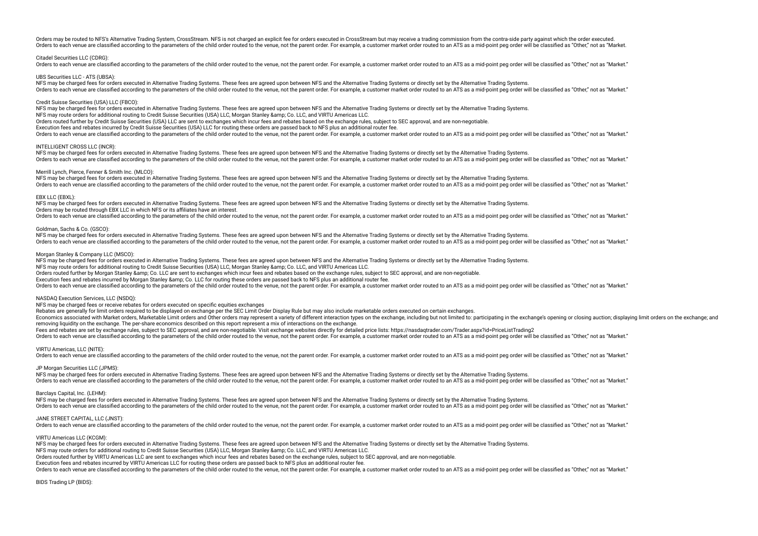Orders may be routed to NFS's Alternative Trading System, CrossStream. NFS is not charged an explicit fee for orders executed in CrossStream but may receive a trading commission from the contra-side party against which the Orders to each venue are classified according to the parameters of the child order routed to the venue, not the parent order. For example, a customer market order routed to an ATS as a mid-point peo order will be classifie

### Citadel Securities LLC (CDRG):

Orders to each venue are classified according to the parameters of the child order routed to the venue, not the parent order. For example, a customer market order routed to an ATS as a mid-point peg order will be classifie

#### UBS Securities LLC - ATS (UBSA):

NFS may be charged fees for orders executed in Alternative Trading Systems. These fees are agreed upon between NFS and the Alternative Trading Systems or directly set by the Alternative Trading Systems. Orders to each venue are classified according to the parameters of the child order routed to the venue, not the parent order. For example, a customer market order routed to an ATS as a mid-point peg order will be classifie

#### Credit Suisse Securities (USA) LLC (FBCO):

NFS may be charged fees for orders executed in Alternative Trading Systems. These fees are agreed upon between NFS and the Alternative Trading Systems or directly set by the Alternative Trading Systems. NFS may route orders for additional routing to Credit Suisse Securities (USA) LLC, Morgan Stanley & Co. LLC, and VIRTU Americas LLC. Orders routed further by Credit Suisse Securities (USA) LLC are sent to exchanges which incur fees and rebates based on the exchange rules, subject to SEC approval, and are non-negotiable. Execution fees and rebates incurred by Credit Suisse Securities (USA) LLC for routing these orders are passed back to NFS plus an additional router fee. Orders to each venue are classified according to the parameters of the child order routed to the venue, not the parent order. For example, a customer market order routed to an ATS as a mid-point peg order will be classifie

#### INTELLIGENT CROSS LLC (INCR):

NFS may be charged fees for orders executed in Alternative Trading Systems. These fees are agreed upon between NFS and the Alternative Trading Systems or directly set by the Alternative Trading Systems or directly set by t Orders to each venue are classified according to the parameters of the child order routed to the venue, not the parent order. For example, a customer market order routed to an ATS as a mid-point peg order will be classifie

#### Merrill Lynch, Pierce, Fenner & Smith Inc. (MLCO):

NFS may be charged fees for orders executed in Alternative Trading Systems. These fees are agreed upon between NFS and the Alternative Trading Systems or directly set by the Alternative Trading Systems. Orders to each venue are classified according to the parameters of the child order routed to the venue, not the parent order. For example, a customer market order routed to an ATS as a mid-point peg order will be classifie

## EBX LLC (EBXL):

NFS may be charged fees for orders executed in Alternative Trading Systems. These fees are agreed upon between NFS and the Alternative Trading Systems or directly set by the Alternative Trading Systems. Orders may be routed through EBX LLC in which NFS or its afliates have an interest. Orders to each venue are classified according to the parameters of the child order routed to the venue, not the parent order. For example, a customer market order routed to an ATS as a mid-point peg order will be classifie

#### Goldman, Sachs & Co. (GSCO):

NFS may be charged fees for orders executed in Alternative Trading Systems. These fees are agreed upon between NFS and the Alternative Trading Systems or directly set by the Alternative Trading Systems or directly set by t Orders to each venue are classified according to the parameters of the child order routed to the venue, not the parent order. For example, a customer market order routed to an ATS as a mid-point peg order will be classifie

### Morgan Stanley & Company LLC (MSCO):

NFS may be charged fees for orders executed in Alternative Trading Systems. These fees are agreed upon between NFS and the Alternative Trading Systems or directly set by the Alternative Trading Systems. NFS may route orders for additional routing to Credit Suisse Securities (USA) LLC, Morgan Stanley & Co. LLC, and VIRTU Americas LLC. Orders routed further by Morgan Stanley & amp: Co. LLC are sent to exchanges which incur fees and rebates based on the exchange rules, subject to SEC approval, and are non-negotiable. Execution fees and rebates incurred by Morgan Stanley & amp; Co. LLC for routing these orders are passed back to NFS plus an additional router fee. Orders to each venue are classified according to the parameters of the child order routed to the venue, not the parent order. For example, a customer market order routed to an ATS as a mid-point peg order will be classifie

#### NASDAQ Execution Services, LLC (NSDQ):

NFS may be charged fees or receive rebates for orders executed on specific equities exchanges

Rebates are generally for limit orders required to be displayed on exchange per the SEC Limit Order Display Rule but may also include marketable orders executed on certain exchanges.

Economics associated with Market orders, Marketable Limit orders and Other orders may represent a variety of different interaction types on the exchange, including but not limited to: participating in the exchange's openin removing liquidity on the exchange. The per-share economics described on this report represent a mix of interactions on the exchange.

Fees and rebates are set by exchange rules, subject to SEC approval, and are non-negotiable. Visit exchange websites directly for detailed price lists: https://nasdaqtrader.com/Trader.aspx?id=PriceListTrading2

Orders to each venue are classified according to the parameters of the child order routed to the venue, not the parent order. For example, a customer market order routed to an ATS as a mid-point peg order will be classifie

## VIRTU Americas, LLC (NITE):

Orders to each venue are classified according to the parameters of the child order routed to the venue, not the parent order. For example, a customer market order routed to an ATS as a mid-point peg order will be classifie

### JP Morgan Securities LLC (JPMS):

NFS may be charged fees for orders executed in Alternative Trading Systems. These fees are agreed upon between NFS and the Alternative Trading Systems or directly set by the Alternative Trading Systems. Orders to each venue are classified according to the parameters of the child order routed to the venue, not the parent order. For example, a customer market order routed to an ATS as a mid-point peg order will be classifie

#### Barclays Capital, Inc. (LEHM):

NFS may be charged fees for orders executed in Alternative Trading Systems. These fees are agreed upon between NFS and the Alternative Trading Systems or directly set by the Alternative Trading Systems. Orders to each venue are classified according to the parameters of the child order routed to the venue, not the parent order. For example, a customer market order routed to an ATS as a mid-point peg order will be classifie

## JANE STREET CAPITAL, LLC (JNST):

Orders to each venue are classified according to the parameters of the child order routed to the venue, not the parent order. For example, a customer market order routed to an ATS as a mid-point peg order will be classifie

#### VIRTU Americas LLC (KCGM):

NFS may be charged fees for orders executed in Alternative Trading Systems. These fees are agreed upon between NFS and the Alternative Trading Systems or directly set by the Alternative Trading Systems or directly set by t

NFS may route orders for additional routing to Credit Suisse Securities (USA) LLC, Morgan Stanley & Co. LLC, and VIRTU Americas LLC.

Orders routed further by VIRTU Americas LLC are sent to exchanges which incur fees and rebates based on the exchange rules, subject to SEC approval, and are non-negotiable.

Execution fees and rebates incurred by VIRTU Americas LLC for routing these orders are passed back to NFS plus an additional router fee.

Orders to each venue are classified according to the parameters of the child order routed to the venue, not the parent order. For example, a customer market order routed to an ATS as a mid-point peg order will be classifie

#### BIDS Trading LP (BIDS):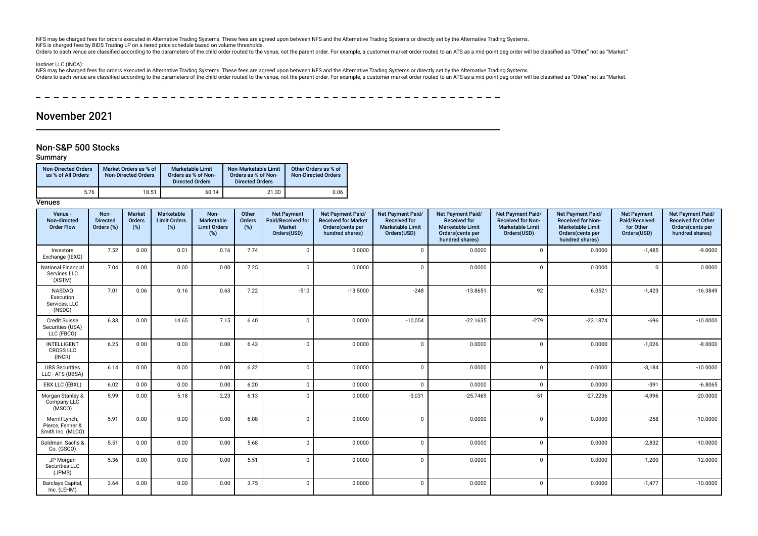NFS may be charged fees for orders executed in Alternative Trading Systems. These fees are agreed upon between NFS and the Alternative Trading Systems or directly set by the Alternative Trading Systems.

NFS is charged fees by BIDS Trading LP on a tiered price schedule based on volume thresholds.

Orders to each venue are classified according to the parameters of the child order routed to the venue, not the paramet order. For example, a customer market order routed to an ATS as a mid-point peg order will be classifi

## Instinet LLC (INCA):

NFS may be charged fees for orders executed in Alternative Trading Systems. These fees are agreed upon between NFS and the Alternative Trading Systems or directly set by the Alternative Trading Systems or directly set by t Orders to each venue are classified according to the parameters of the child order routed to the venue, not the paramet order. For example, a customer market order routed to an ATS as a mid-point peg order will be classifi

 $- - - -$ \_\_\_\_\_\_\_\_\_\_\_\_\_\_\_\_\_\_\_\_\_\_\_\_ ----------- $\sim$ 

## November 2021

## Non-S&P 500 Stocks

## Summary

| <b>Non-Directed Orders</b><br>as % of All Orders | Market Orders as % of<br><b>Non-Directed Orders</b> | <b>Marketable Limit</b><br>Orders as % of Non-<br><b>Directed Orders</b> | Non-Marketable Limit<br>Orders as % of Non-<br><b>Directed Orders</b> | Other Orders as % of<br><b>Non-Directed Orders</b> |
|--------------------------------------------------|-----------------------------------------------------|--------------------------------------------------------------------------|-----------------------------------------------------------------------|----------------------------------------------------|
| 5.76                                             | 18.51                                               | 60.14                                                                    | 21.30                                                                 | 0.06                                               |

| Venue -<br>Non-directed<br><b>Order Flow</b>            | Non-<br><b>Directed</b><br>Orders (%) | Market<br>Orders<br>(%) | Marketable<br><b>Limit Orders</b><br>(%) | Non-<br>Marketable<br><b>Limit Orders</b><br>(%) | Other<br>Orders<br>(%) | <b>Net Payment</b><br>Paid/Received for<br><b>Market</b><br>Orders(USD) | <b>Net Payment Paid/</b><br><b>Received for Market</b><br>Orders(cents per<br>hundred shares) | Net Payment Paid/<br><b>Received for</b><br><b>Marketable Limit</b><br>Orders(USD) | Net Payment Paid/<br><b>Received for</b><br><b>Marketable Limit</b><br>Orders(cents per<br>hundred shares) | Net Payment Paid/<br><b>Received for Non-</b><br><b>Marketable Limit</b><br>Orders(USD) | Net Payment Paid/<br><b>Received for Non-</b><br><b>Marketable Limit</b><br>Orders(cents per<br>hundred shares) | <b>Net Payment</b><br>Paid/Received<br>for Other<br>Orders(USD) | Net Payment Paid/<br><b>Received for Other</b><br>Orders(cents per<br>hundred shares) |
|---------------------------------------------------------|---------------------------------------|-------------------------|------------------------------------------|--------------------------------------------------|------------------------|-------------------------------------------------------------------------|-----------------------------------------------------------------------------------------------|------------------------------------------------------------------------------------|------------------------------------------------------------------------------------------------------------|-----------------------------------------------------------------------------------------|-----------------------------------------------------------------------------------------------------------------|-----------------------------------------------------------------|---------------------------------------------------------------------------------------|
| Investors<br>Exchange (IEXG)                            | 7.52                                  | 0.00                    | 0.01                                     | 0.16                                             | 7.74                   | $\Omega$                                                                | 0.0000                                                                                        | $\mathbf 0$                                                                        | 0.0000                                                                                                     | $\mathbf 0$                                                                             | 0.0000                                                                                                          | $-1,485$                                                        | $-9.0000$                                                                             |
| <b>National Financial</b><br>Services LLC<br>(XSTM)     | 7.04                                  | 0.00                    | 0.00                                     | 0.00                                             | 7.25                   | $\Omega$                                                                | 0.0000                                                                                        | $\mathbf 0$                                                                        | 0.0000                                                                                                     | $\Omega$                                                                                | 0.0000                                                                                                          | $\mathbf{0}$                                                    | 0.0000                                                                                |
| NASDAQ<br>Execution<br>Services, LLC<br>(NSDQ)          | 7.01                                  | 0.06                    | 0.16                                     | 0.63                                             | 7.22                   | $-510$                                                                  | $-13.5000$                                                                                    | $-248$                                                                             | $-13.8651$                                                                                                 | 92                                                                                      | 6.0521                                                                                                          | $-1,423$                                                        | $-16.3849$                                                                            |
| <b>Credit Suisse</b><br>Securities (USA)<br>LLC (FBCO)  | 6.33                                  | 0.00                    | 14.65                                    | 7.15                                             | 6.40                   | $\Omega$                                                                | 0.0000                                                                                        | $-10,054$                                                                          | $-22.1635$                                                                                                 | $-279$                                                                                  | $-23.1874$                                                                                                      | $-696$                                                          | $-10.0000$                                                                            |
| <b>INTELLIGENT</b><br><b>CROSS LLC</b><br>(INCR)        | 6.25                                  | 0.00                    | 0.00                                     | 0.00                                             | 6.43                   | $\Omega$                                                                | 0.0000                                                                                        | $\Omega$                                                                           | 0.0000                                                                                                     | $\Omega$                                                                                | 0.0000                                                                                                          | $-1,026$                                                        | $-8.0000$                                                                             |
| <b>UBS Securities</b><br>LLC - ATS (UBSA)               | 6.14                                  | 0.00                    | 0.00                                     | 0.00                                             | 6.32                   | $\Omega$                                                                | 0.0000                                                                                        | $\Omega$                                                                           | 0.0000                                                                                                     | $\Omega$                                                                                | 0.0000                                                                                                          | $-3,184$                                                        | $-10.0000$                                                                            |
| EBX LLC (EBXL)                                          | 6.02                                  | 0.00                    | 0.00                                     | 0.00                                             | 6.20                   | $\Omega$                                                                | 0.0000                                                                                        | $\Omega$                                                                           | 0.0000                                                                                                     | $\Omega$                                                                                | 0.0000                                                                                                          | $-391$                                                          | $-6.8065$                                                                             |
| Morgan Stanley &<br>Company LLC<br>(MSCO)               | 5.99                                  | 0.00                    | 5.18                                     | 2.23                                             | 6.13                   | $\Omega$                                                                | 0.0000                                                                                        | $-3,031$                                                                           | $-25.7469$                                                                                                 | $-51$                                                                                   | $-27.2236$                                                                                                      | $-4,996$                                                        | $-20.0000$                                                                            |
| Merrill Lynch,<br>Pierce, Fenner &<br>Smith Inc. (MLCO) | 5.91                                  | 0.00                    | 0.00                                     | 0.00                                             | 6.08                   | $\Omega$                                                                | 0.0000                                                                                        | $\mathbf{0}$                                                                       | 0.0000                                                                                                     | $\mathbf{0}$                                                                            | 0.0000                                                                                                          | $-258$                                                          | $-10.0000$                                                                            |
| Goldman, Sachs &<br>Co. (GSCO)                          | 5.51                                  | 0.00                    | 0.00                                     | 0.00                                             | 5.68                   | $\Omega$                                                                | 0.0000                                                                                        | $\mathbf 0$                                                                        | 0.0000                                                                                                     | $\Omega$                                                                                | 0.0000                                                                                                          | $-2,832$                                                        | $-10.0000$                                                                            |
| JP Morgan<br>Securities LLC<br>(JPMS)                   | 5.36                                  | 0.00                    | 0.00                                     | 0.00                                             | 5.51                   | $\Omega$                                                                | 0.0000                                                                                        | $\mathbf 0$                                                                        | 0.0000                                                                                                     | $\Omega$                                                                                | 0.0000                                                                                                          | $-1,200$                                                        | $-12.0000$                                                                            |
| Barclays Capital,<br>Inc. (LEHM)                        | 3.64                                  | 0.00                    | 0.00                                     | 0.00                                             | 3.75                   | $\Omega$                                                                | 0.0000                                                                                        | $\mathbf 0$                                                                        | 0.0000                                                                                                     | $\Omega$                                                                                | 0.0000                                                                                                          | $-1,477$                                                        | $-10.0000$                                                                            |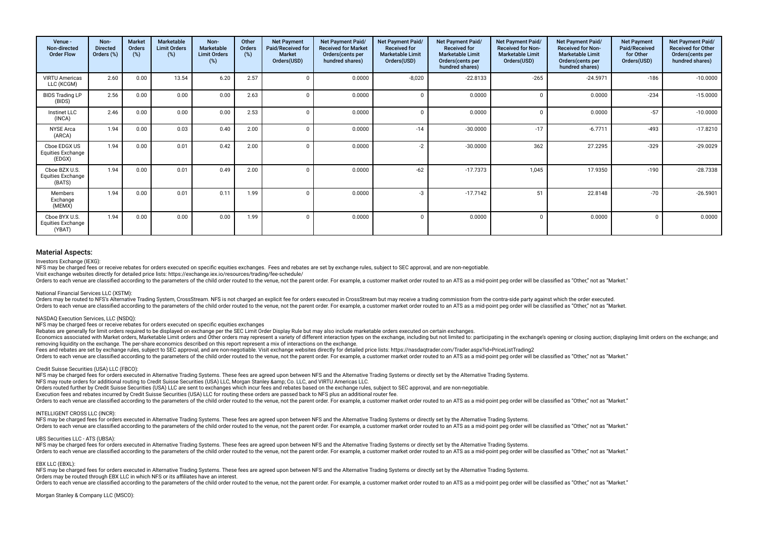| Venue -<br>Non-directed<br><b>Order Flow</b>        | Non-<br><b>Directed</b><br>Orders (%) | <b>Market</b><br>Orders<br>(%) | Marketable<br><b>Limit Orders</b><br>$(\%)$ | Non-<br>Marketable<br><b>Limit Orders</b><br>(%) | Other<br>Orders<br>(%) | <b>Net Payment</b><br>Paid/Received for<br><b>Market</b><br>Orders(USD) | Net Payment Paid/<br><b>Received for Market</b><br>Orders (cents per<br>hundred shares) | <b>Net Payment Paid/</b><br><b>Received for</b><br><b>Marketable Limit</b><br>Orders(USD) | <b>Net Payment Paid/</b><br><b>Received for</b><br><b>Marketable Limit</b><br>Orders(cents per<br>hundred shares) | Net Payment Paid/<br><b>Received for Non-</b><br><b>Marketable Limit</b><br>Orders(USD) | <b>Net Payment Paid/</b><br><b>Received for Non-</b><br><b>Marketable Limit</b><br>Orders(cents per<br>hundred shares) | <b>Net Payment</b><br>Paid/Received<br>for Other<br>Orders(USD) | Net Payment Paid/<br><b>Received for Other</b><br>Orders(cents per<br>hundred shares) |
|-----------------------------------------------------|---------------------------------------|--------------------------------|---------------------------------------------|--------------------------------------------------|------------------------|-------------------------------------------------------------------------|-----------------------------------------------------------------------------------------|-------------------------------------------------------------------------------------------|-------------------------------------------------------------------------------------------------------------------|-----------------------------------------------------------------------------------------|------------------------------------------------------------------------------------------------------------------------|-----------------------------------------------------------------|---------------------------------------------------------------------------------------|
| <b>VIRTU Americas</b><br>LLC (KCGM)                 | 2.60                                  | 0.00                           | 13.54                                       | 6.20                                             | 2.57                   |                                                                         | 0.0000                                                                                  | $-8,020$                                                                                  | $-22.8133$                                                                                                        | $-265$                                                                                  | $-24.5971$                                                                                                             | $-186$                                                          | $-10.0000$                                                                            |
| <b>BIDS Trading LP</b><br>(BIDS)                    | 2.56                                  | 0.00                           | 0.00                                        | 0.00                                             | 2.63                   |                                                                         | 0.0000                                                                                  | $\Omega$                                                                                  | 0.0000                                                                                                            |                                                                                         | 0.0000                                                                                                                 | $-234$                                                          | $-15.0000$                                                                            |
| Instinet LLC<br>(INCA)                              | 2.46                                  | 0.00                           | 0.00                                        | 0.00                                             | 2.53                   |                                                                         | 0.0000                                                                                  | $\Omega$                                                                                  | 0.0000                                                                                                            |                                                                                         | 0.0000                                                                                                                 | $-57$                                                           | $-10.0000$                                                                            |
| <b>NYSE Arca</b><br>(ARCA)                          | 1.94                                  | 0.00                           | 0.03                                        | 0.40                                             | 2.00                   |                                                                         | 0.0000                                                                                  | $-14$                                                                                     | $-30.0000$                                                                                                        | $-17$                                                                                   | $-6.7711$                                                                                                              | $-493$                                                          | $-17.8210$                                                                            |
| Cboe EDGX US<br><b>Equities Exchange</b><br>(EDGX)  | 1.94                                  | 0.00                           | 0.01                                        | 0.42                                             | 2.00                   |                                                                         | 0.0000                                                                                  | $-2$                                                                                      | $-30.0000$                                                                                                        | 362                                                                                     | 27.2295                                                                                                                | $-329$                                                          | $-29.0029$                                                                            |
| Cboe BZX U.S.<br><b>Equities Exchange</b><br>(BATS) | 1.94                                  | 0.00                           | 0.01                                        | 0.49                                             | 2.00                   |                                                                         | 0.0000                                                                                  | $-62$                                                                                     | $-17.7373$                                                                                                        | 1,045                                                                                   | 17.9350                                                                                                                | $-190$                                                          | $-28.7338$                                                                            |
| Members<br>Exchange<br>(MEMX)                       | 1.94                                  | 0.00                           | 0.01                                        | 0.11                                             | 1.99                   |                                                                         | 0.0000                                                                                  | -3                                                                                        | $-17.7142$                                                                                                        | 51                                                                                      | 22.8148                                                                                                                | $-70$                                                           | $-26.5901$                                                                            |
| Cboe BYX U.S.<br>Equities Exchange<br>(YBAT)        | 1.94                                  | 0.00                           | 0.00                                        | 0.00                                             | 1.99                   |                                                                         | 0.0000                                                                                  | $\Omega$                                                                                  | 0.0000                                                                                                            |                                                                                         | 0.0000                                                                                                                 |                                                                 | 0.0000                                                                                |

Investors Exchange (IEXG):

NFS may be charged fees or receive rebates for orders executed on specific equities exchanges. Fees and rebates are set by exchange rules, subject to SEC approval, and are non-negotiable. Visit exchange websites directly for detailed price lists: https://exchange.iex.io/resources/trading/fee-schedule/

Orders to each venue are classified according to the parameters of the child order routed to the venue, not the parent order. For example, a customer market order routed to an ATS as a mid-point peg order will be classifie

### National Financial Services LLC (XSTM):

Orders may be routed to NFS's Alternative Trading System, CrossStream, NFS is not charged an explicit fee for orders executed in CrossStream but may receive a trading commission from the contra-side party against which the Orders to each venue are classified according to the parameters of the child order routed to the venue, not the parent order. For example, a customer market order routed to an ATS as a mid-point peg order will be classifie

## NASDAQ Execution Services, LLC (NSDQ):

NFS may be charged fees or receive rebates for orders executed on specifc equities exchanges

Rebates are generally for limit orders required to be displayed on exchange per the SEC Limit Order Display Rule but may also include marketable orders executed on certain exchanges.

Economics associated with Market orders, Marketable Limit orders and Other orders may represent a variety of different interaction types on the exchange, including but not limited to: participating in the exchange's openin removing liquidity on the exchange. The per-share economics described on this report represent a mix of interactions on the exchange.

Fees and rebates are set by exchange rules, subject to SEC approval, and are non-negotiable. Visit exchange websites directly for detailed price lists: https://nasdaqtrader.com/Trader.aspx?id=PriceListTrading2

Orders to each venue are classified according to the parameters of the child order routed to the venue, not the parent order. For example, a customer market order routed to an ATS as a mid-point peg order will be classifie

#### Credit Suisse Securities (USA) LLC (FBCO):

NFS may be charged fees for orders executed in Alternative Trading Systems. These fees are agreed upon between NFS and the Alternative Trading Systems or directly set by the Alternative Trading Systems.

NFS may route orders for additional routing to Credit Suisse Securities (USA) LLC, Morgan Stanley & amp; Co. LLC, and VIRTU Americas LLC.

Orders routed further by Credit Suisse Securities (USA) LLC are sent to exchanges which incur fees and rebates based on the exchange rules, subject to SEC approval, and are non-negotiable.

Execution fees and rebates incurred by Credit Suisse Securities (USA) LLC for routing these orders are passed back to NFS plus an additional router fee.

Orders to each venue are classified according to the parameters of the child order routed to the venue, not the parent order. For example, a customer market order routed to an ATS as a mid-point peg order will be classifie

## INTELLIGENT CROSS LLC (INCR):

NFS may be charged fees for orders executed in Alternative Trading Systems. These fees are agreed upon between NFS and the Alternative Trading Systems or directly set by the Alternative Trading Systems or directly set by t Orders to each venue are classified according to the parameters of the child order routed to the venue, not the parent order. For example, a customer market order routed to an ATS as a mid-point peg order will be classifie

## UBS Securities LLC - ATS (UBSA):

NFS may be charged fees for orders executed in Alternative Trading Systems. These fees are agreed upon between NFS and the Alternative Trading Systems or directly set by the Alternative Trading Systems. Orders to each venue are classified according to the parameters of the child order routed to the venue, not the parent order. For example, a customer market order routed to an ATS as a mid-point peg order will be classifie

## EBX LLC (EBXL):

NFS may be charged fees for orders executed in Alternative Trading Systems. These fees are agreed upon between NFS and the Alternative Trading Systems or directly set by the Alternative Trading Systems or directly set by t Orders may be routed through EBX LLC in which NFS or its afliates have an interest.

Orders to each venue are classified according to the parameters of the child order routed to the venue, not the parent order. For example, a customer market order routed to an ATS as a mid-point peg order will be classifie

Morgan Stanley & Company LLC (MSCO):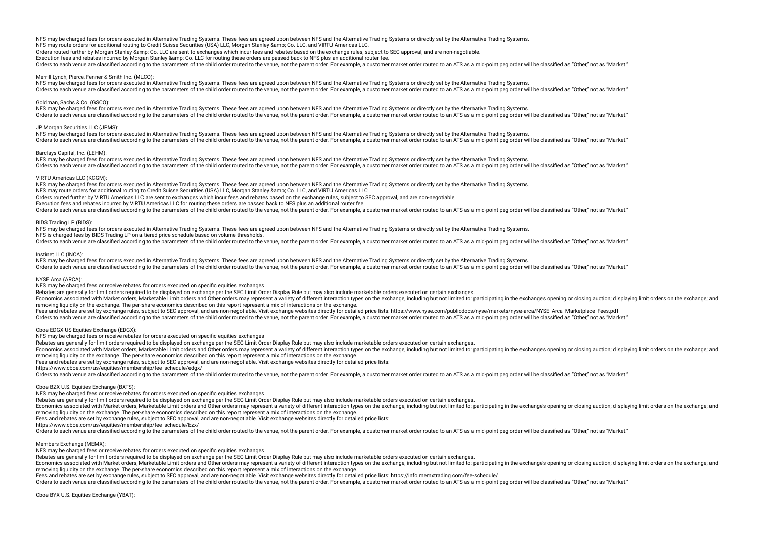NFS may be charged fees for orders executed in Alternative Trading Systems. These fees are agreed upon between NFS and the Alternative Trading Systems or directly set by the Alternative Trading Systems. NFS may route orders for additional routing to Credit Suisse Securities (USA) LLC, Morgan Stanley & amp: Co. LLC, and VIRTU Americas LLC.

Orders routed further by Morgan Stanley & amp: Co. LLC are sent to exchanges which incur fees and rebates based on the exchange rules, subject to SEC approval, and are non-negotiable.

Execution fees and rebates incurred by Morgan Stanley & amp: Co. LLC for routing these orders are passed back to NFS plus an additional router fee.

Orders to each venue are classified according to the parameters of the child order routed to the venue, not the parent order. For example, a customer market order routed to an ATS as a mid-point peg order will be classifie

## Merrill Lynch, Pierce, Fenner & Smith Inc. (MLCO):

NFS may be charged fees for orders executed in Alternative Trading Systems. These fees are agreed upon between NFS and the Alternative Trading Systems or directly set by the Alternative Trading Systems. Orders to each venue are classified according to the parameters of the child order routed to the venue, not the parent order. For example, a customer market order routed to an ATS as a mid-point peg order will be classifie

## Goldman, Sachs & Co. (GSCO):

NFS may be charged fees for orders executed in Alternative Trading Systems. These fees are agreed upon between NFS and the Alternative Trading Systems or directly set by the Alternative Trading Systems. Orders to each venue are classified according to the parameters of the child order routed to the venue, not the parent order. For example, a customer market order routed to an ATS as a mid-point peg order will be classifie

## JP Morgan Securities LLC (JPMS):

NFS may be charged fees for orders executed in Alternative Trading Systems. These fees are agreed upon between NFS and the Alternative Trading Systems or directly set by the Alternative Trading Systems or directly set by t Orders to each venue are classified according to the parameters of the child order routed to the venue, not the parent order. For example, a customer market order routed to an ATS as a mid-point peg order will be classifie

## Barclays Capital, Inc. (LEHM):

NFS may be charged fees for orders executed in Alternative Trading Systems. These fees are agreed upon between NFS and the Alternative Trading Systems or directly set by the Alternative Trading Systems. Orders to each venue are classified according to the parameters of the child order routed to the venue, not the parent order. For example, a customer market order routed to an ATS as a mid-point peg order will be classifie

## VIRTU Americas LLC (KCGM):

NFS may be charged fees for orders executed in Alternative Trading Systems. These fees are agreed upon between NFS and the Alternative Trading Systems or directly set by the Alternative Trading Systems. NFS may route orders for additional routing to Credit Suisse Securities (USA) LLC, Morgan Stanley & amp; Co. LLC, and VIRTU Americas LLC. Orders routed further by VIRTU Americas LLC are sent to exchanges which incur fees and rebates based on the exchange rules, subject to SEC approval, and are non-negotiable. Execution fees and rebates incurred by VIRTU Americas LLC for routing these orders are passed back to NFS plus an additional router fee. Orders to each venue are classified according to the parameters of the child order routed to the venue, not the parent order. For example, a customer market order routed to an ATS as a mid-point peg order will be classifie

## BIDS Trading LP (BIDS):

NFS may be charged fees for orders executed in Alternative Trading Systems. These fees are agreed upon between NFS and the Alternative Trading Systems or directly set by the Alternative Trading Systems.

NFS is charged fees by BIDS Trading LP on a tiered price schedule based on volume thresholds.

Orders to each venue are classified according to the parameters of the child order routed to the venue, not the parent order. For example, a customer market order routed to an ATS as a mid-point peg order will be classifie

## Instinet LLC (INCA):

NFS may be charged fees for orders executed in Alternative Trading Systems. These fees are agreed upon between NFS and the Alternative Trading Systems or directly set by the Alternative Trading Systems or directly set by t The saided according to the parameters of the child order routed to the yenue not the parameter Soft and the version of the version of the parameter of the version of the school of the version of the school of the paramete

## NYSE Arca (ARCA):

NFS may be charged fees or receive rebates for orders executed on specifc equities exchanges

Rebates are generally for limit orders required to be displayed on exchange per the SEC Limit Order Display Rule but may also include marketable orders executed on certain exchanges.

Fronomics associated with Market orders. Marketable Limit orders and Other orders may represent a variety of different interaction types on the exchange including but not limited to: participation in the exchange's opening removing liquidity on the exchange. The per-share economics described on this report represent a mix of interactions on the exchange.

Fees and rebates are set by exchange rules, subject to SEC approval, and are non-negotiable. Visit exchange websites directly for detailed price lists: https://www.nyse.com/publicdocs/nyse/markets/nyse-arca/NYSE\_Arca\_Marke

Orders to each venue are classified according to the parameters of the child order routed to the venue, not the parent order. For example, a customer market order routed to an ATS as a mid-point peg order will be classifie

## Cboe EDGX US Equities Exchange (EDGX):

NFS may be charged fees or receive rebates for orders executed on specifc equities exchanges

Rebates are generally for limit orders required to be displayed on exchange per the SEC Limit Order Display Rule but may also include marketable orders executed on certain exchanges.

Economics associated with Market orders Marketable Limit orders and Other orders may represent a variety of different interaction types on the exchange including but not limited to: participating in the exchange's opening removing liquidity on the exchange. The per-share economics described on this report represent a mix of interactions on the exchange.

Fees and rebates are set by exchange rules, subject to SEC approval, and are non-negotiable. Visit exchange websites directly for detailed price lists:

https://www.cboe.com/us/equities/membership/fee\_schedule/edgx/

Orders to each venue are classified according to the parameters of the child order routed to the venue, not the parent order. For example, a customer market order routed to an ATS as a mid-point peg order will be classifie

## Cboe BZX U.S. Equities Exchange (BATS):

NFS may be charged fees or receive rebates for orders executed on specifc equities exchanges

Rebates are generally for limit orders required to be displayed on exchange per the SEC Limit Order Display Rule but may also include marketable orders executed on certain exchanges.

Economics associated with Market orders, Marketable Limit orders and Other orders may represent a variety of different interaction types on the exchange, including but not limited to: participating in the exchange's openin removing liquidity on the exchange. The per-share economics described on this report represent a mix of interactions on the exchange.

Fees and rebates are set by exchange rules, subject to SEC approval, and are non-negotiable. Visit exchange websites directly for detailed price lists:

https://www.cboe.com/us/equities/membership/fee\_schedule/bzx/

Orders to each venue are classified according to the parameters of the child order routed to the venue, not the parent order. For example, a customer market order routed to an ATS as a mid-point peg order will be classifie

## Members Exchange (MEMX):

NFS may be charged fees or receive rebates for orders executed on specifc equities exchanges

Rebates are generally for limit orders required to be displayed on exchange per the SEC Limit Order Display Rule but may also include marketable orders executed on certain exchanges.

Economics associated with Market orders, Marketable Limit orders and Other orders may represent a variety of different interaction types on the exchange, including but not limited to: participating in the exchange's openin removing liquidity on the exchange. The per-share economics described on this report represent a mix of interactions on the exchange.

Fees and rebates are set by exchange rules, subject to SEC approval, and are non-negotiable. Visit exchange websites directly for detailed price lists: https://info.memxtrading.com/fee-schedule/

There is a mid-point per classified according to the parameters of the child order routed to the yenue post the parent order. For example a customer market order routed to an ATS as a mid-point peo order will be classified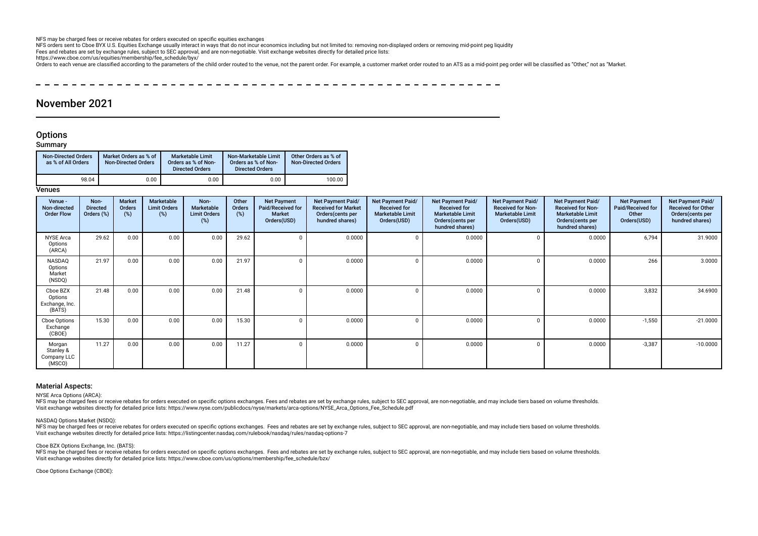NFS may be charged fees or receive rebates for orders executed on specifc equities exchanges

NFS orders sent to Cboe BYX U.S. Equities Exchange usually interact in ways that do not incur economics including but not limited to: removing non-displayed orders or removing mid-point peg liquidity

Fees and rebates are set by exchange rules, subject to SEC approval, and are non-negotiable. Visit exchange websites directly for detailed price lists:

https://www.cboe.com/us/equities/membership/fee\_schedule/byx/

of the parameters of the parameters of the child order routed to the venue, not the parameter. For example, a customer market order routed to an ATS as a mid-point ped order will be classified as "Other," not as "Market.

 $- - - - - - -$ 

## November 2021

## **Options**

## Summary

| <b>Non-Directed Orders</b><br>as % of All Orders | Market Orders as % of<br><b>Non-Directed Orders</b> | <b>Marketable Limit</b><br>Orders as % of Non-<br><b>Directed Orders</b> | Non-Marketable Limit<br>Orders as % of Non-<br><b>Directed Orders</b> | Other Orders as % of<br><b>Non-Directed Orders</b> |
|--------------------------------------------------|-----------------------------------------------------|--------------------------------------------------------------------------|-----------------------------------------------------------------------|----------------------------------------------------|
| 98.04                                            | 0.00                                                | 0.00                                                                     | 0.00                                                                  | 100.00                                             |

## **Venues**

| Venue -<br>Non-directed<br><b>Order Flow</b>    | Non-<br><b>Directed</b><br>Orders (%) | <b>Market</b><br><b>Orders</b><br>(%) | Marketable<br><b>Limit Orders</b><br>(%) | Non-<br><b>Marketable</b><br><b>Limit Orders</b><br>(%) | Other<br>Orders<br>(%) | <b>Net Payment</b><br>Paid/Received for<br><b>Market</b><br>Orders(USD) | <b>Net Payment Paid/</b><br><b>Received for Market</b><br>Orders(cents per<br>hundred shares) | Net Payment Paid/<br><b>Received for</b><br><b>Marketable Limit</b><br>Orders(USD) | <b>Net Payment Paid/</b><br><b>Received for</b><br><b>Marketable Limit</b><br>Orders (cents per<br>hundred shares) | <b>Net Payment Paid/</b><br><b>Received for Non-</b><br><b>Marketable Limit</b><br>Orders(USD) | Net Payment Paid/<br><b>Received for Non-</b><br><b>Marketable Limit</b><br>Orders(cents per<br>hundred shares) | <b>Net Payment</b><br>Paid/Received for<br>Other<br>Orders(USD) | Net Payment Paid/<br><b>Received for Other</b><br>Orders(cents per<br>hundred shares) |
|-------------------------------------------------|---------------------------------------|---------------------------------------|------------------------------------------|---------------------------------------------------------|------------------------|-------------------------------------------------------------------------|-----------------------------------------------------------------------------------------------|------------------------------------------------------------------------------------|--------------------------------------------------------------------------------------------------------------------|------------------------------------------------------------------------------------------------|-----------------------------------------------------------------------------------------------------------------|-----------------------------------------------------------------|---------------------------------------------------------------------------------------|
| <b>NYSE Arca</b><br>Options<br>(ARCA)           | 29.62                                 | 0.00                                  | 0.00                                     | 0.00                                                    | 29.62                  | 0                                                                       | 0.0000                                                                                        |                                                                                    | 0.0000                                                                                                             |                                                                                                | 0.0000                                                                                                          | 6,794                                                           | 31.9000                                                                               |
| NASDAQ<br>Options<br>Market<br>(NSDQ)           | 21.97                                 | 0.00                                  | 0.00                                     | 0.00                                                    | 21.97                  | 0                                                                       | 0.0000                                                                                        |                                                                                    | 0.0000                                                                                                             |                                                                                                | 0.0000                                                                                                          | 266                                                             | 3.0000                                                                                |
| Cboe BZX<br>Options<br>Exchange, Inc.<br>(BATS) | 21.48                                 | 0.00                                  | 0.00                                     | 0.00                                                    | 21.48                  | $\Omega$                                                                | 0.0000                                                                                        |                                                                                    | 0.0000                                                                                                             |                                                                                                | 0.0000                                                                                                          | 3,832                                                           | 34.6900                                                                               |
| Cboe Options<br>Exchange<br>(CBOE)              | 15.30                                 | 0.00                                  | 0.00                                     | 0.00                                                    | 15.30                  | <sup>0</sup>                                                            | 0.0000                                                                                        |                                                                                    | 0.0000                                                                                                             |                                                                                                | 0.0000                                                                                                          | $-1,550$                                                        | $-21.0000$                                                                            |
| Morgan<br>Stanley &<br>Company LLC<br>(MSCO)    | 11.27                                 | 0.00                                  | 0.00                                     | 0.00                                                    | 11.27                  | <sup>0</sup>                                                            | 0.0000                                                                                        |                                                                                    | 0.0000                                                                                                             |                                                                                                | 0.0000                                                                                                          | $-3,387$                                                        | $-10.0000$                                                                            |

## Material Aspects:

NYSE Arca Options (ARCA):

NFS may be charged fees or receive rebates for orders executed on specific options exchanges. Fees and rebates are set by exchange rules, subject to SEC approval, are non-negotiable, and may include tiers based on volume t Visit exchange websites directly for detailed price lists: https://www.nyse.com/publicdocs/nyse/markets/arca-options/NYSE\_Arca\_Options\_Fee\_Schedule.pdf

## NASDAQ Options Market (NSDQ):

NFS may be charged fees or receive rebates for orders executed on specific options exchanges. Fees and rebates are set by exchange rules, subject to SEC approval, are non-negotiable, and may include tiers based on volume t Visit exchange websites directly for detailed price lists: https://listingcenter.nasdaq.com/rulebook/nasdaq/rules/nasdaq-options-7

## Cboe BZX Options Exchange, Inc. (BATS):

NFS may be charged fees or receive rebates for orders executed on specific options exchanges. Fees and rebates are set by exchange rules, subject to SEC approval, are non-negotiable, and may include tiers based on volume t Visit exchange websites directly for detailed price lists: https://www.cboe.com/us/options/membership/fee\_schedule/bzx/

Cboe Options Exchange (CBOE):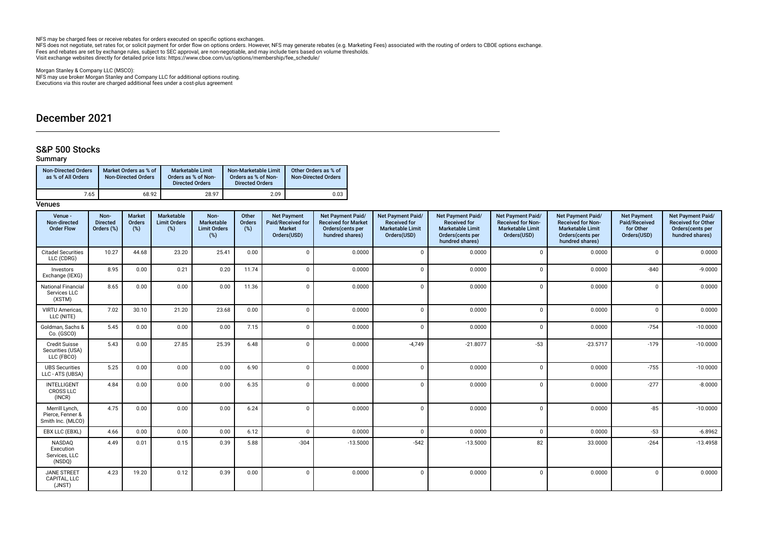NFS may be charged fees or receive rebates for orders executed on specifc options exchanges. NFS does not negotiate, set rates for, or solicit payment for order fow on options orders. However, NFS may generate rebates (e.g. Marketing Fees) associated with the routing of orders to CBOE options exchange. Fees and rebates are set by exchange rules, subject to SEC approval, are non-negotiable, and may include tiers based on volume thresholds.<br>Visit exchange websites directly for detailed price lists: https://www.cboe.com/us/

Morgan Stanley & Company LLC (MSCO):

NFS may use broker Morgan Stanley and Company LLC for additional options routing. Executions via this router are charged additional fees under a cost-plus agreement

## December 2021

## S&P 500 Stocks

## Summary

| <b>Non-Directed Orders</b><br>as % of All Orders | Market Orders as % of<br><b>Non-Directed Orders</b> | <b>Marketable Limit</b><br>Orders as % of Non-<br><b>Directed Orders</b> | Non-Marketable Limit<br>Orders as % of Non-<br><b>Directed Orders</b> | Other Orders as % of<br><b>Non-Directed Orders</b> |
|--------------------------------------------------|-----------------------------------------------------|--------------------------------------------------------------------------|-----------------------------------------------------------------------|----------------------------------------------------|
| 7.65                                             | 68.92                                               | 28.97                                                                    | 2.09                                                                  | 0.03                                               |

| Venue -<br>Non-directed<br><b>Order Flow</b>            | Non-<br><b>Directed</b><br>Orders (%) | <b>Market</b><br>Orders<br>(%) | Marketable<br><b>Limit Orders</b><br>(%) | Non-<br>Marketable<br><b>Limit Orders</b><br>$(\%)$ | Other<br>Orders<br>(%) | <b>Net Payment</b><br>Paid/Received for<br><b>Market</b><br>Orders(USD) | <b>Net Payment Paid/</b><br><b>Received for Market</b><br>Orders(cents per<br>hundred shares) | Net Payment Paid/<br><b>Received for</b><br><b>Marketable Limit</b><br>Orders(USD) | Net Payment Paid/<br><b>Received for</b><br><b>Marketable Limit</b><br>Orders(cents per<br>hundred shares) | Net Payment Paid/<br>Received for Non-<br><b>Marketable Limit</b><br>Orders(USD) | Net Payment Paid/<br>Received for Non-<br><b>Marketable Limit</b><br>Orders(cents per<br>hundred shares) | <b>Net Payment</b><br>Paid/Received<br>for Other<br>Orders(USD) | Net Payment Paid/<br><b>Received for Other</b><br>Orders(cents per<br>hundred shares) |
|---------------------------------------------------------|---------------------------------------|--------------------------------|------------------------------------------|-----------------------------------------------------|------------------------|-------------------------------------------------------------------------|-----------------------------------------------------------------------------------------------|------------------------------------------------------------------------------------|------------------------------------------------------------------------------------------------------------|----------------------------------------------------------------------------------|----------------------------------------------------------------------------------------------------------|-----------------------------------------------------------------|---------------------------------------------------------------------------------------|
| <b>Citadel Securities</b><br>LLC (CDRG)                 | 10.27                                 | 44.68                          | 23.20                                    | 25.41                                               | 0.00                   | $\Omega$                                                                | 0.0000                                                                                        | $\mathbf{0}$                                                                       | 0.0000                                                                                                     | $\Omega$                                                                         | 0.0000                                                                                                   | $\Omega$                                                        | 0.0000                                                                                |
| Investors<br>Exchange (IEXG)                            | 8.95                                  | 0.00                           | 0.21                                     | 0.20                                                | 11.74                  | $\mathbf 0$                                                             | 0.0000                                                                                        | $\mathbf 0$                                                                        | 0.0000                                                                                                     | $\Omega$                                                                         | 0.0000                                                                                                   | $-840$                                                          | $-9.0000$                                                                             |
| <b>National Financial</b><br>Services LLC<br>(XSTM)     | 8.65                                  | 0.00                           | 0.00                                     | 0.00                                                | 11.36                  | $\Omega$                                                                | 0.0000                                                                                        | $\Omega$                                                                           | 0.0000                                                                                                     | $\Omega$                                                                         | 0.0000                                                                                                   |                                                                 | 0.0000                                                                                |
| VIRTU Americas,<br>LLC (NITE)                           | 7.02                                  | 30.10                          | 21.20                                    | 23.68                                               | 0.00                   | $\Omega$                                                                | 0.0000                                                                                        | $\Omega$                                                                           | 0.0000                                                                                                     | $\Omega$                                                                         | 0.0000                                                                                                   |                                                                 | 0.0000                                                                                |
| Goldman, Sachs &<br>Co. (GSCO)                          | 5.45                                  | 0.00                           | 0.00                                     | 0.00                                                | 7.15                   | $\Omega$                                                                | 0.0000                                                                                        | $\Omega$                                                                           | 0.0000                                                                                                     | $\Omega$                                                                         | 0.0000                                                                                                   | $-754$                                                          | $-10.0000$                                                                            |
| <b>Credit Suisse</b><br>Securities (USA)<br>LLC (FBCO)  | 5.43                                  | 0.00                           | 27.85                                    | 25.39                                               | 6.48                   | $\Omega$                                                                | 0.0000                                                                                        | $-4,749$                                                                           | $-21.8077$                                                                                                 | $-53$                                                                            | $-23.5717$                                                                                               | $-179$                                                          | $-10.0000$                                                                            |
| <b>UBS Securities</b><br>LLC - ATS (UBSA)               | 5.25                                  | 0.00                           | 0.00                                     | 0.00                                                | 6.90                   | $\mathbf 0$                                                             | 0.0000                                                                                        | $\Omega$                                                                           | 0.0000                                                                                                     | $\Omega$                                                                         | 0.0000                                                                                                   | $-755$                                                          | $-10.0000$                                                                            |
| <b>INTELLIGENT</b><br><b>CROSS LLC</b><br>(INCR)        | 4.84                                  | 0.00                           | 0.00                                     | 0.00                                                | 6.35                   | $\Omega$                                                                | 0.0000                                                                                        | $\Omega$                                                                           | 0.0000                                                                                                     | $\Omega$                                                                         | 0.0000                                                                                                   | $-277$                                                          | $-8.0000$                                                                             |
| Merrill Lynch,<br>Pierce, Fenner &<br>Smith Inc. (MLCO) | 4.75                                  | 0.00                           | 0.00                                     | 0.00                                                | 6.24                   | $\Omega$                                                                | 0.0000                                                                                        | $\Omega$                                                                           | 0.0000                                                                                                     | $\Omega$                                                                         | 0.0000                                                                                                   | $-85$                                                           | $-10.0000$                                                                            |
| EBX LLC (EBXL)                                          | 4.66                                  | 0.00                           | 0.00                                     | 0.00                                                | 6.12                   | $\mathbf 0$                                                             | 0.0000                                                                                        | $\Omega$                                                                           | 0.0000                                                                                                     | $\Omega$                                                                         | 0.0000                                                                                                   | $-53$                                                           | $-6.8962$                                                                             |
| NASDAQ<br>Execution<br>Services, LLC<br>(NSDQ)          | 4.49                                  | 0.01                           | 0.15                                     | 0.39                                                | 5.88                   | $-304$                                                                  | $-13.5000$                                                                                    | $-542$                                                                             | $-13.5000$                                                                                                 | 82                                                                               | 33.0000                                                                                                  | $-264$                                                          | $-13.4958$                                                                            |
| <b>JANE STREET</b><br>CAPITAL, LLC<br>(JNST)            | 4.23                                  | 19.20                          | 0.12                                     | 0.39                                                | 0.00                   | $\Omega$                                                                | 0.0000                                                                                        | $\mathbf{0}$                                                                       | 0.0000                                                                                                     | $\Omega$                                                                         | 0.0000                                                                                                   | 0                                                               | 0.0000                                                                                |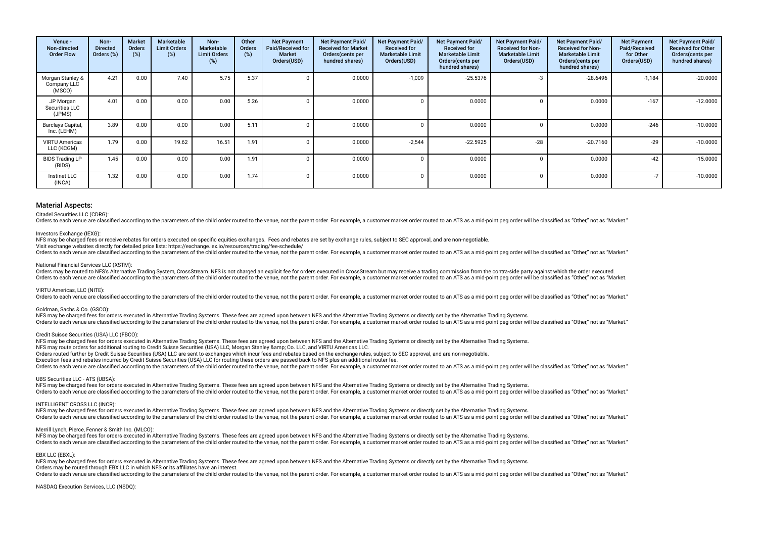| Venue -<br>Non-directed<br><b>Order Flow</b> | Non-<br><b>Directed</b><br>Orders (%) | <b>Market</b><br><b>Orders</b><br>$(\%)$ | Marketable<br><b>Limit Orders</b><br>(%) | Non-<br><b>Marketable</b><br><b>Limit Orders</b><br>(%) | Other<br><b>Orders</b><br>(%) | <b>Net Payment</b><br>Paid/Received for<br>Market<br>Orders(USD) | Net Payment Paid/<br><b>Received for Market</b><br>Orders (cents per<br>hundred shares) | Net Payment Paid/<br><b>Received for</b><br><b>Marketable Limit</b><br>Orders(USD) | Net Payment Paid/<br><b>Received for</b><br><b>Marketable Limit</b><br>Orders (cents per<br>hundred shares) | Net Payment Paid/<br><b>Received for Non-</b><br><b>Marketable Limit</b><br>Orders(USD) | Net Payment Paid/<br><b>Received for Non-</b><br><b>Marketable Limit</b><br>Orders (cents per<br>hundred shares) | <b>Net Payment</b><br>Paid/Received<br>for Other<br>Orders(USD) | Net Payment Paid/<br><b>Received for Other</b><br>Orders (cents per<br>hundred shares) |
|----------------------------------------------|---------------------------------------|------------------------------------------|------------------------------------------|---------------------------------------------------------|-------------------------------|------------------------------------------------------------------|-----------------------------------------------------------------------------------------|------------------------------------------------------------------------------------|-------------------------------------------------------------------------------------------------------------|-----------------------------------------------------------------------------------------|------------------------------------------------------------------------------------------------------------------|-----------------------------------------------------------------|----------------------------------------------------------------------------------------|
| Morgan Stanley &<br>Company LLC<br>(MSCO)    | 4.21                                  | 0.00                                     | 7.40                                     | 5.75                                                    | 5.37                          |                                                                  | 0.0000                                                                                  | $-1,009$                                                                           | $-25.5376$                                                                                                  | -3                                                                                      | $-28.6496$                                                                                                       | $-1,184$                                                        | $-20.0000$                                                                             |
| JP Morgan<br>Securities LLC<br>(JPMS)        | 4.01                                  | 0.00                                     | 0.00                                     | 0.00                                                    | 5.26                          |                                                                  | 0.0000                                                                                  |                                                                                    | 0.0000                                                                                                      |                                                                                         | 0.0000                                                                                                           | $-167$                                                          | $-12.0000$                                                                             |
| Barclays Capital,<br>Inc. (LEHM)             | 3.89                                  | 0.00                                     | 0.00                                     | 0.00                                                    | 5.11                          |                                                                  | 0.0000                                                                                  |                                                                                    | 0.0000                                                                                                      |                                                                                         | 0.0000                                                                                                           | $-246$                                                          | $-10.0000$                                                                             |
| <b>VIRTU Americas</b><br>LLC (KCGM)          | 1.79                                  | 0.00                                     | 19.62                                    | 16.51                                                   | 1.91                          |                                                                  | 0.0000                                                                                  | $-2,544$                                                                           | $-22.5925$                                                                                                  | $-28$                                                                                   | $-20.7160$                                                                                                       | $-29$                                                           | $-10.0000$                                                                             |
| <b>BIDS Trading LP</b><br>(BIDS)             | 1.45                                  | 0.00                                     | 0.00                                     | 0.00                                                    | 1.91                          |                                                                  | 0.0000                                                                                  |                                                                                    | 0.0000                                                                                                      |                                                                                         | 0.0000                                                                                                           | $-42$                                                           | $-15.0000$                                                                             |
| Instinet LLC<br>(INCA)                       | 1.32                                  | 0.00                                     | 0.00                                     | 0.00                                                    | 1.74                          |                                                                  | 0.0000                                                                                  |                                                                                    | 0.0000                                                                                                      |                                                                                         | 0.0000                                                                                                           |                                                                 | $-10.0000$                                                                             |

Citadel Securities LLC (CDRG):

Orders to each venue are classified according to the parameters of the child order routed to the venue, not the parent order. For example, a customer market order routed to an ATS as a mid-point peg order will be classifie

### Investors Exchange (IEXG):

NFS may be charged fees or receive rebates for orders executed on specific equities exchanges. Fees and rebates are set by exchange rules, subject to SEC approval, and are non-negotiable.

Visit exchange websites directly for detailed price lists: https://exchange.iex.io/resources/trading/fee-schedule/

Orders to each venue are classified according to the parameters of the child order routed to the venue, not the parent order. For example, a customer market order routed to an ATS as a mid-point peg order will be classifie

## National Financial Services LLC (XSTM):

Orders may be routed to NFS's Alternative Trading System, CrossStream. NFS is not charged an explicit fee for orders executed in CrossStream but may receive a trading commission from the contra-side party against which the Orders to each venue are classified according to the parameters of the child order routed to the venue, not the parent order. For example, a customer market order routed to an ATS as a mid-point peg order will be classifie

#### VIRTU Americas, LLC (NITE):

Orders to each venue are classified according to the parameters of the child order routed to the venue, not the parent order. For example, a customer market order routed to an ATS as a mid-point peg order will be classifie

## Goldman, Sachs & Co. (GSCO):

NFS may be charged fees for orders executed in Alternative Trading Systems. These fees are agreed upon between NFS and the Alternative Trading Systems or directly set by the Alternative Trading Systems. Orders to each venue are classified according to the parameters of the child order routed to the venue, not the parent order. For example, a customer market order routed to an ATS as a mid-point peg order will be classifie

#### Credit Suisse Securities (USA) LLC (FBCO):

NFS may be charged fees for orders executed in Alternative Trading Systems. These fees are agreed upon between NFS and the Alternative Trading Systems or directly set by the Alternative Trading Systems.

NFS may route orders for additional routing to Credit Suisse Securities (USA) LLC, Morgan Stanley & amp; Co. LLC, and VIRTU Americas LLC.

Orders routed further by Credit Suisse Securities (USA) LLC are sent to exchanges which incur fees and rebates based on the exchange rules, subject to SEC approval, and are non-negotiable.

Execution fees and rebates incurred by Credit Suisse Securities (USA) LLC for routing these orders are passed back to NFS plus an additional router fee.

Orders to each venue are classified according to the parameters of the child order routed to the venue, not the parent order. For example, a customer market order routed to an ATS as a mid-point peg order will be classifie

## UBS Securities LLC - ATS (UBSA):

NFS may be charged fees for orders executed in Alternative Trading Systems. These fees are agreed upon between NFS and the Alternative Trading Systems or directly set by the Alternative Trading Systems. Orders to each venue are classified according to the parameters of the child order routed to the venue, not the parent order. For example, a customer market order routed to an ATS as a mid-point peg order will be classifie

## INTELLIGENT CROSS LLC (INCR):

NFS may be charged fees for orders executed in Alternative Trading Systems. These fees are agreed upon between NFS and the Alternative Trading Systems or directly set by the Alternative Trading Systems. Orders to each venue are classified according to the parameters of the child order routed to the venue, not the parent order. For example, a customer market order routed to an ATS as a mid-point peg order will be classifie

#### Merrill Lynch, Pierce, Fenner & Smith Inc. (MLCO):

NFS may be charged fees for orders executed in Alternative Trading Systems. These fees are agreed upon between NFS and the Alternative Trading Systems or directly set by the Alternative Trading Systems or directly set by t Orders to each venue are classified according to the parameters of the child order routed to the venue, not the parent order. For example, a customer market order routed to an ATS as a mid-point peg order will be classifie

## EBX LLC (EBXL):

NFS may be charged fees for orders executed in Alternative Trading Systems. These fees are agreed upon between NFS and the Alternative Trading Systems or directly set by the Alternative Trading Systems or directly set by t Orders may be routed through EBX LLC in which NFS or its afliates have an interest. There is each venue are classified according to the parameters of the child order routed to the yenue pot the parent order. For example a customer market order routed to an ATS as a mid-point peo order will be classified a

#### NASDAQ Execution Services, LLC (NSDQ):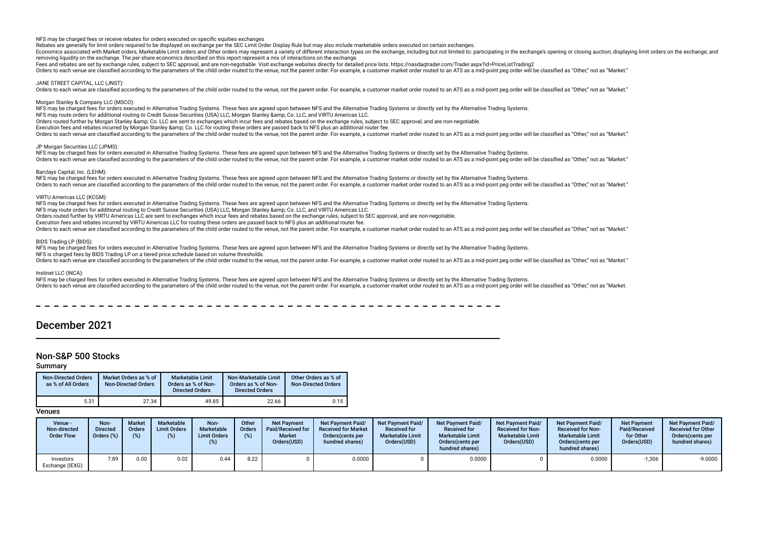NFS may be charged fees or receive rebates for orders executed on specifc equities exchanges

Rebates are generally for limit orders required to be displayed on exchange per the SEC Limit Order Display Rule but may also include marketable orders executed on certain exchanges.

Economics associated with Market orders, Marketable Limit orders and Other orders may represent a variety of different interaction types on the exchange, including but not limited to: participating in the exchange's openin removing liquidity on the exchange. The per-share economics described on this report represent a mix of interactions on the exchange.

Fees and rebates are set by exchange rules, subject to SEC approval, and are non-negotiable. Visit exchange websites directly for detailed price lists: https://nasdaqtrader.com/Trader.aspx?id=PriceListTrading2

Orders to each venue are classified according to the parameters of the child order routed to the venue, not the parent order. For example, a customer market order routed to an ATS as a mid-point peg order will be classifie

JANE STREET CAPITAL, LLC (JNST):

Orders to each venue are classified according to the parameters of the child order routed to the venue, not the parent order. For example, a customer market order routed to an ATS as a mid-point peg order will be classifie

## Morgan Stanley & Company LLC (MSCO):

NFS may be charged fees for orders executed in Alternative Trading Systems. These fees are agreed upon between NFS and the Alternative Trading Systems or directly set by the Alternative Trading Systems. NFS may route orders for additional routing to Credit Suisse Securities (USA) LLC, Morgan Stanley & amp: Co. LLC, and VIRTU Americas LLC. Orders routed further by Morgan Stanley & amp: Co. LLC are sent to exchanges which incur fees and rebates based on the exchange rules, subject to SEC approval, and are non-negotiable. Execution fees and rebates incurred by Morgan Stanley & amp; Co. LLC for routing these orders are passed back to NFS plus an additional router fee. Orders to each venue are classified according to the parameters of the child order routed to the venue, not the parent order. For example, a customer market order routed to an ATS as a mid-point peg order will be classifie

JP Morgan Securities LLC (JPMS):

NFS may be charged fees for orders executed in Alternative Trading Systems. These fees are agreed upon between NFS and the Alternative Trading Systems or directly set by the Alternative Trading Systems. Orders to each venue are classified according to the parameters of the child order routed to the venue, not the parent order. For example, a customer market order routed to an ATS as a mid-point peg order will be classifie

Barclays Capital, Inc. (LEHM):

NFS may be charged fees for orders executed in Alternative Trading Systems. These fees are agreed upon between NFS and the Alternative Trading Systems or directly set by the Alternative Trading Systems. Orders to each venue are classified according to the parameters of the child order routed to the venue, not the parent order. For example, a customer market order routed to an ATS as a mid-point peg order will be classifie

## VIRTU Americas LLC (KCGM):

NFS may be charged fees for orders executed in Alternative Trading Systems. These fees are agreed upon between NFS and the Alternative Trading Systems or directly set by the Alternative Trading Systems.

NFS may route orders for additional routing to Credit Suisse Securities (USA) LLC, Morgan Stanley & amp; Co. LLC, and VIRTU Americas LLC.

Orders routed further by VIRTU Americas LLC are sent to exchanges which incur fees and rebates based on the exchange rules, subject to SEC approval, and are non-negotiable.

Execution fees and rebates incurred by VIRTU Americas LLC for routing these orders are passed back to NFS plus an additional router fee.

Orders to each venue are classified according to the parameters of the child order routed to the yenue, not the parent order. For example, a customer market order routed to an ATS as a mid-point peg order will be classifie

## BIDS Trading LP (BIDS):

NFS may be charged fees for orders executed in Alternative Trading Systems. These fees are agreed upon between NFS and the Alternative Trading Systems or directly set by the Alternative Trading Systems. NFS is charged fees by BIDS Trading LP on a tiered price schedule based on volume thresholds.

Orders to each venue are classified according to the parameters of the child order routed to the venue, not the parent order. For example, a customer market order routed to an ATS as a mid-point peg order will be classifie

## Instinet LLC (INCA):

NFS may be charged fees for orders executed in Alternative Trading Systems. These fees are agreed upon between NFS and the Alternative Trading Systems or directly set by the Alternative Trading Systems. Orders to each venue are classified according to the parameters of the child order routed to the venue, not the parent order. For example, a customer market order routed to an ATS as a mid-point peg order will be classifie

## December 2021

## Non-S&P 500 Stocks

Summary

| <b>Non-Directed Orders</b><br>as % of All Orders | Market Orders as % of<br><b>Non-Directed Orders</b> | <b>Marketable Limit</b><br>Orders as % of Non-<br><b>Directed Orders</b> | Non-Marketable Limit<br>Orders as % of Non-<br><b>Directed Orders</b> | Other Orders as % of<br>Non-Directed Orders |
|--------------------------------------------------|-----------------------------------------------------|--------------------------------------------------------------------------|-----------------------------------------------------------------------|---------------------------------------------|
| 5.31                                             | 27.34                                               | 49.85                                                                    | 22.66                                                                 | 0.15                                        |

| Venue -<br>Non-directed<br><b>Order Flow</b> | Non-<br><b>Directed</b><br>Orders $(\%)$ | <b>Market</b><br>Orders<br>(%) | Marketable<br><b>Limit Orders</b><br>(%) | Non-<br><b>Marketable</b><br><b>Limit Orders</b><br>(%) | Other<br><b>Orders</b> | <b>Net Payment</b><br>Paid/Received for<br><b>Market</b><br>Orders(USD) | <b>Net Payment Paid/</b><br><b>Received for Market</b><br>Orders (cents per<br>hundred shares) | Net Payment Paid/<br><b>Received for</b><br><b>Marketable Limit</b><br>Orders(USD) | <b>Net Payment Paid/</b><br><b>Received for</b><br><b>Marketable Limit</b><br>Orders(cents per<br>hundred shares) | Net Payment Paid/<br><b>Received for Non-</b><br><b>Marketable Limit</b><br>Orders(USD) | <b>Net Payment Paid/</b><br><b>Received for Non-</b><br><b>Marketable Limit</b><br>Orders(cents per<br>hundred shares) | <b>Net Payment</b><br>Paid/Received<br>for Other<br>Orders(USD) | <b>Net Payment Paid/</b><br><b>Received for Other</b><br>Orders(cents per<br>hundred shares) |
|----------------------------------------------|------------------------------------------|--------------------------------|------------------------------------------|---------------------------------------------------------|------------------------|-------------------------------------------------------------------------|------------------------------------------------------------------------------------------------|------------------------------------------------------------------------------------|-------------------------------------------------------------------------------------------------------------------|-----------------------------------------------------------------------------------------|------------------------------------------------------------------------------------------------------------------------|-----------------------------------------------------------------|----------------------------------------------------------------------------------------------|
| Investors<br>Exchange (IEXG)                 | 7.89                                     | 0.00                           | 0.02                                     | 0.44                                                    | 8.22                   |                                                                         | 0.0000                                                                                         |                                                                                    | 0.0000                                                                                                            |                                                                                         | 0.0000                                                                                                                 | $-1.306$                                                        | $-9.0000$                                                                                    |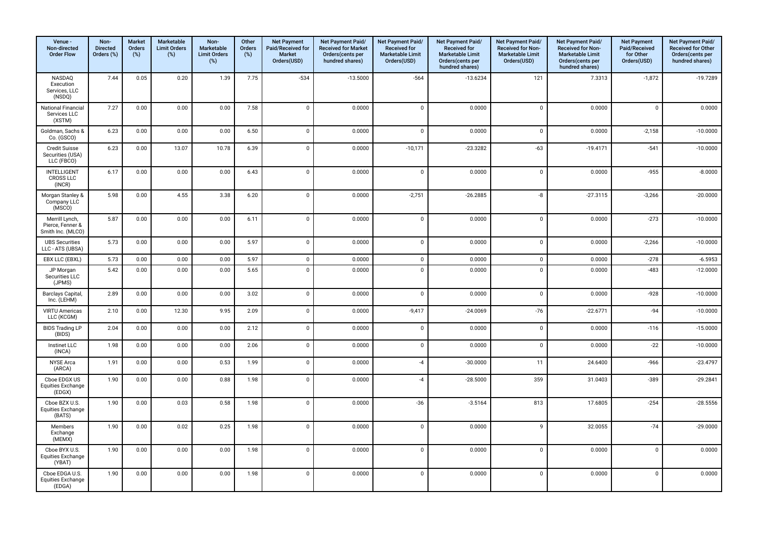| Venue -<br>Non-directed<br><b>Order Flow</b>            | Non-<br><b>Directed</b><br>Orders (%) | <b>Market</b><br>Orders<br>(%) | Marketable<br><b>Limit Orders</b><br>(%) | Non-<br>Marketable<br><b>Limit Orders</b><br>(%) | Other<br><b>Orders</b><br>$(\%)$ | <b>Net Payment</b><br>Paid/Received for<br>Market<br>Orders(USD) | Net Payment Paid/<br><b>Received for Market</b><br>Orders(cents per<br>hundred shares) | Net Payment Paid/<br><b>Received for</b><br>Marketable Limit<br>Orders(USD) | Net Payment Paid/<br><b>Received for</b><br>Marketable Limit<br>Orders(cents per<br>hundred shares) | Net Payment Paid/<br>Received for Non-<br><b>Marketable Limit</b><br>Orders(USD) | Net Payment Paid/<br>Received for Non-<br>Marketable Limit<br>Orders(cents per<br>hundred shares) | <b>Net Payment</b><br>Paid/Received<br>for Other<br>Orders(USD) | Net Payment Paid/<br><b>Received for Other</b><br>Orders(cents per<br>hundred shares) |
|---------------------------------------------------------|---------------------------------------|--------------------------------|------------------------------------------|--------------------------------------------------|----------------------------------|------------------------------------------------------------------|----------------------------------------------------------------------------------------|-----------------------------------------------------------------------------|-----------------------------------------------------------------------------------------------------|----------------------------------------------------------------------------------|---------------------------------------------------------------------------------------------------|-----------------------------------------------------------------|---------------------------------------------------------------------------------------|
| NASDAQ<br>Execution<br>Services, LLC<br>(NSDQ)          | 7.44                                  | 0.05                           | 0.20                                     | 1.39                                             | 7.75                             | $-534$                                                           | $-13.5000$                                                                             | $-564$                                                                      | $-13.6234$                                                                                          | 121                                                                              | 7.3313                                                                                            | $-1,872$                                                        | $-19.7289$                                                                            |
| National Financial<br>Services LLC<br>(XSTM)            | 7.27                                  | 0.00                           | 0.00                                     | 0.00                                             | 7.58                             | $\mathbf 0$                                                      | 0.0000                                                                                 | $\pmb{0}$                                                                   | 0.0000                                                                                              | $\pmb{0}$                                                                        | 0.0000                                                                                            | $\mathbf 0$                                                     | 0.0000                                                                                |
| Goldman, Sachs &<br>Co. (GSCO)                          | 6.23                                  | 0.00                           | 0.00                                     | 0.00                                             | 6.50                             | $\mathsf 0$                                                      | 0.0000                                                                                 | $\pmb{0}$                                                                   | 0.0000                                                                                              | $\pmb{0}$                                                                        | 0.0000                                                                                            | $-2,158$                                                        | $-10.0000$                                                                            |
| <b>Credit Suisse</b><br>Securities (USA)<br>LLC (FBCO)  | 6.23                                  | 0.00                           | 13.07                                    | 10.78                                            | 6.39                             | $\mathbf 0$                                                      | 0.0000                                                                                 | $-10,171$                                                                   | $-23.3282$                                                                                          | $-63$                                                                            | $-19.4171$                                                                                        | $-541$                                                          | $-10.0000$                                                                            |
| <b>INTELLIGENT</b><br>CROSS LLC<br>(INCR)               | 6.17                                  | 0.00                           | 0.00                                     | 0.00                                             | 6.43                             | $\mathbf 0$                                                      | 0.0000                                                                                 | $\mathbf 0$                                                                 | 0.0000                                                                                              | $\mathsf 0$                                                                      | 0.0000                                                                                            | $-955$                                                          | $-8.0000$                                                                             |
| Morgan Stanley &<br>Company LLC<br>(MSCO)               | 5.98                                  | 0.00                           | 4.55                                     | 3.38                                             | 6.20                             | $\mathbf 0$                                                      | 0.0000                                                                                 | $-2,751$                                                                    | $-26.2885$                                                                                          | -8                                                                               | $-27.3115$                                                                                        | $-3,266$                                                        | $-20.0000$                                                                            |
| Merrill Lynch,<br>Pierce, Fenner &<br>Smith Inc. (MLCO) | 5.87                                  | 0.00                           | 0.00                                     | 0.00                                             | 6.11                             | $\mathsf 0$                                                      | 0.0000                                                                                 | $\mathbf 0$                                                                 | 0.0000                                                                                              | $\pmb{0}$                                                                        | 0.0000                                                                                            | $-273$                                                          | $-10.0000$                                                                            |
| <b>UBS Securities</b><br>LLC - ATS (UBSA)               | 5.73                                  | 0.00                           | 0.00                                     | 0.00                                             | 5.97                             | $\mathbf 0$                                                      | 0.0000                                                                                 | $\pmb{0}$                                                                   | 0.0000                                                                                              | $\pmb{0}$                                                                        | 0.0000                                                                                            | $-2,266$                                                        | $-10.0000$                                                                            |
| EBX LLC (EBXL)                                          | 5.73                                  | 0.00                           | 0.00                                     | 0.00                                             | 5.97                             | $\mathsf 0$                                                      | 0.0000                                                                                 | $\mathbf 0$                                                                 | 0.0000                                                                                              | $\pmb{0}$                                                                        | 0.0000                                                                                            | $-278$                                                          | $-6.5953$                                                                             |
| JP Morgan<br>Securities LLC<br>(JPMS)                   | 5.42                                  | 0.00                           | 0.00                                     | 0.00                                             | 5.65                             | $\mathbf{0}$                                                     | 0.0000                                                                                 | $\mathbf 0$                                                                 | 0.0000                                                                                              | $\mathbf 0$                                                                      | 0.0000                                                                                            | $-483$                                                          | $-12.0000$                                                                            |
| Barclays Capital,<br>Inc. (LEHM)                        | 2.89                                  | 0.00                           | 0.00                                     | 0.00                                             | 3.02                             | $\mathsf 0$                                                      | 0.0000                                                                                 | $\mathbf 0$                                                                 | 0.0000                                                                                              | $\pmb{0}$                                                                        | 0.0000                                                                                            | $-928$                                                          | $-10.0000$                                                                            |
| <b>VIRTU Americas</b><br>LLC (KCGM)                     | 2.10                                  | 0.00                           | 12.30                                    | 9.95                                             | 2.09                             | $\mathsf 0$                                                      | 0.0000                                                                                 | $-9,417$                                                                    | $-24.0069$                                                                                          | $-76$                                                                            | $-22.6771$                                                                                        | $-94$                                                           | $-10.0000$                                                                            |
| <b>BIDS Trading LP</b><br>(BIDS)                        | 2.04                                  | 0.00                           | 0.00                                     | 0.00                                             | 2.12                             | $\mathbf 0$                                                      | 0.0000                                                                                 | $\pmb{0}$                                                                   | 0.0000                                                                                              | $\pmb{0}$                                                                        | 0.0000                                                                                            | $-116$                                                          | $-15.0000$                                                                            |
| <b>Instinet LLC</b><br>(INCA)                           | 1.98                                  | 0.00                           | 0.00                                     | 0.00                                             | 2.06                             | $\mathbf 0$                                                      | 0.0000                                                                                 | $\pmb{0}$                                                                   | 0.0000                                                                                              | $\pmb{0}$                                                                        | 0.0000                                                                                            | $-22$                                                           | $-10.0000$                                                                            |
| <b>NYSE Arca</b><br>(ARCA)                              | 1.91                                  | 0.00                           | 0.00                                     | 0.53                                             | 1.99                             | $\mathsf 0$                                                      | 0.0000                                                                                 | $-4$                                                                        | $-30.0000$                                                                                          | 11                                                                               | 24.6400                                                                                           | $-966$                                                          | $-23.4797$                                                                            |
| Cboe EDGX US<br>Equities Exchange<br>(EDGX)             | 1.90                                  | 0.00                           | 0.00                                     | 0.88                                             | 1.98                             | $\mathbf 0$                                                      | 0.0000                                                                                 | $-4$                                                                        | $-28.5000$                                                                                          | 359                                                                              | 31.0403                                                                                           | $-389$                                                          | $-29.2841$                                                                            |
| Cboe BZX U.S.<br>Equities Exchange<br>(BATS)            | 1.90                                  | 0.00                           | 0.03                                     | 0.58                                             | 1.98                             | $\mathsf 0$                                                      | 0.0000                                                                                 | $-36$                                                                       | $-3.5164$                                                                                           | 813                                                                              | 17.6805                                                                                           | $-254$                                                          | $-28.5556$                                                                            |
| Members<br>Exchange<br>(MEMX)                           | 1.90                                  | 0.00                           | 0.02                                     | 0.25                                             | 1.98                             | $\mathbf 0$                                                      | 0.0000                                                                                 | $\mathbf 0$                                                                 | 0.0000                                                                                              | 9                                                                                | 32.0055                                                                                           | $-74$                                                           | $-29.0000$                                                                            |
| Cboe BYX U.S.<br>Equities Exchange<br>(YBAT)            | 1.90                                  | 0.00                           | 0.00                                     | 0.00                                             | 1.98                             | $\mathbf 0$                                                      | 0.0000                                                                                 | $\pmb{0}$                                                                   | 0.0000                                                                                              | $\pmb{0}$                                                                        | 0.0000                                                                                            | $\mathbf 0$                                                     | 0.0000                                                                                |
| Cboe EDGA U.S.<br>Equities Exchange<br>(EDGA)           | 1.90                                  | 0.00                           | 0.00                                     | 0.00                                             | 1.98                             | $\mathbf 0$                                                      | 0.0000                                                                                 | $\mathbf 0$                                                                 | 0.0000                                                                                              | $\pmb{0}$                                                                        | 0.0000                                                                                            | $\mathbf 0$                                                     | 0.0000                                                                                |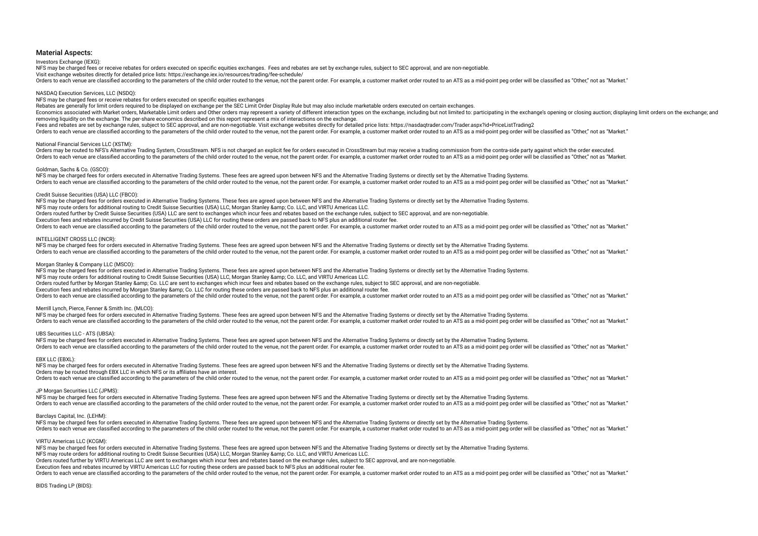## Investors Exchange (IEXG):

NFS may be charged fees or receive rebates for orders executed on specific equities exchanges. Fees and rebates are set by exchange rules, subject to SEC approval, and are non-negotiable.

Visit exchange websites directly for detailed price lists: https://exchange.iex.io/resources/trading/fee-schedule/

Orders to each venue are classified according to the parameters of the child order routed to the venue, not the parent order. For example, a customer market order routed to an ATS as a mid-point peg order will be classifie

## NASDAQ Execution Services, LLC (NSDQ):

NFS may be charged fees or receive rebates for orders executed on specifc equities exchanges

Rebates are generally for limit orders required to be displayed on exchange per the SEC Limit Order Display Rule but may also include marketable orders executed on certain exchanges.

Economics associated with Market orders, Marketable Limit orders and Other orders may represent a variety of different interaction types on the exchange, including but not limited to: participating in the exchange's openin removing liquidity on the exchange. The per-share economics described on this report represent a mix of interactions on the exchange.

Fees and rebates are set by exchange rules, subject to SEC approval, and are non-negotiable. Visit exchange websites directly for detailed price lists: https://nasdaqtrader.com/Trader.aspx?id=PriceListTrading2

Orders to each venue are classified according to the parameters of the child order routed to the venue, not the parent order. For example, a customer market order routed to an ATS as a mid-point peg order will be classifie

## National Financial Services LLC (XSTM):

Orders may be routed to NFS's Alternative Trading System, CrossStream, NFS is not charged an explicit fee for orders executed in CrossStream but may receive a trading commission from the contra-side party against which the Orders to each venue are classified according to the parameters of the child order routed to the venue, not the parent order. For example, a customer market order routed to an ATS as a mid-point peg order will be classifie

### Goldman, Sachs & Co. (GSCO):

NFS may be charged fees for orders executed in Alternative Trading Systems. These fees are agreed upon between NFS and the Alternative Trading Systems or directly set by the Alternative Trading Systems. Orders to each venue are classified according to the parameters of the child order routed to the venue, not the parent order. For example, a customer market order routed to an ATS as a mid-point peg order will be classifie

## Credit Suisse Securities (USA) LLC (FBCO):

NFS may be charged fees for orders executed in Alternative Trading Systems. These fees are agreed upon between NFS and the Alternative Trading Systems or directly set by the Alternative Trading Systems or directly set by t NFS may route orders for additional routing to Credit Suisse Securities (USA) LLC, Morgan Stanley & amp: Co. LLC, and VIRTU Americas LLC. Orders routed further by Credit Suisse Securities (USA) LLC are sent to exchanges which incur fees and rebates based on the exchange rules, subject to SEC approval, and are non-negotiable. Execution fees and rebates incurred by Credit Suisse Securities (USA) LLC for routing these orders are passed back to NFS plus an additional router fee. Orders to each venue are classified according to the parameters of the child order routed to the venue, not the parent order. For example, a customer market order routed to an ATS as a mid-point peg order will be classifie

## INTELLIGENT CROSS LLC (INCR):

NFS may be charged fees for orders executed in Alternative Trading Systems. These fees are agreed upon between NFS and the Alternative Trading Systems or directly set by the Alternative Trading Systems. Orders to each venue are classified according to the parameters of the child order routed to the venue, not the parent order. For example, a customer market order routed to an ATS as a mid-point peg order will be classifie

## Morgan Stanley & Company LLC (MSCO):

NFS may be charged fees for orders executed in Alternative Trading Systems. These fees are agreed upon between NFS and the Alternative Trading Systems or directly set by the Alternative Trading Systems or directly set by t NFS may route orders for additional routing to Credit Suisse Securities (USA) LLC, Morgan Stanley & amp: Co. LLC, and VIRTU Americas LLC. Orders routed further by Morgan Stanley & amp; Co. LLC are sent to exchanges which incur fees and rebates based on the exchange rules, subject to SEC approval, and are non-negotiable. Execution fees and rebates incurred by Morgan Stanley & amp: Co. LLC for routing these orders are passed back to NFS plus an additional router fee. Orders to each venue are classified according to the parameters of the child order routed to the venue, not the parent order. For example, a customer market order routed to an ATS as a mid-point peg order will be classifie

## Merrill Lynch, Pierce, Fenner & Smith Inc. (MLCO):

NFS may be charged fees for orders executed in Alternative Trading Systems. These fees are agreed upon between NFS and the Alternative Trading Systems or directly set by the Alternative Trading Systems or directly set by t Orders to each venue are classified according to the parameters of the child order routed to the venue, not the parent order. For example, a customer market order routed to an ATS as a mid-point peg order will be classifie

## UBS Securities LLC - ATS (UBSA):

NFS may be charged fees for orders executed in Alternative Trading Systems. These fees are agreed upon between NFS and the Alternative Trading Systems or directly set by the Alternative Trading Systems. Orders to each venue are classified according to the parameters of the child order routed to the venue, not the parent order. For example, a customer market order routed to an ATS as a mid-point peq order will be classifie

## EBX LLC (EBXL):

NFS may be charged fees for orders executed in Alternative Trading Systems. These fees are agreed upon between NFS and the Alternative Trading Systems or directly set by the Alternative Trading Systems. Orders may be routed through EBX LLC in which NFS or its afliates have an interest. Orders to each venue are classified according to the parameters of the child order routed to the venue, not the parent order. For example, a customer market order routed to an ATS as a mid-point peg order will be classifie

#### JP Morgan Securities LLC (JPMS):

NFS may be charged fees for orders executed in Alternative Trading Systems. These fees are agreed upon between NFS and the Alternative Trading Systems or directly set by the Alternative Trading Systems or directly set by t Orders to each venue are classified according to the parameters of the child order routed to the venue, not the parent order. For example, a customer market order routed to an ATS as a mid-point peg order will be classifie

### Barclays Capital, Inc. (LEHM):

NFS may be charged fees for orders executed in Alternative Trading Systems. These fees are agreed upon between NFS and the Alternative Trading Systems or directly set by the Alternative Trading Systems or directly set by t Orders to each venue are classified according to the parameters of the child order routed to the venue, not the parent order. For example, a customer market order routed to an ATS as a mid-point peg order will be classifie

### VIRTU Americas LLC (KCGM):

NFS may be charged fees for orders executed in Alternative Trading Systems. These fees are agreed upon between NFS and the Alternative Trading Systems or directly set by the Alternative Trading Systems or directly set by t NFS may route orders for additional routing to Credit Suisse Securities (USA) LLC, Morgan Stanley & amp: Co. LLC, and VIRTU Americas LLC. Orders routed further by VIRTU Americas LLC are sent to exchanges which incur fees and rebates based on the exchange rules, subject to SEC approval, and are non-negotiable. Execution fees and rebates incurred by VIRTU Americas LLC for routing these orders are passed back to NFS plus an additional router fee. Orders to each venue are classified according to the parameters of the child order routed to the venue, not the parent order. For example, a customer market order routed to an ATS as a mid-point peg order will be classifie

BIDS Trading LP (BIDS)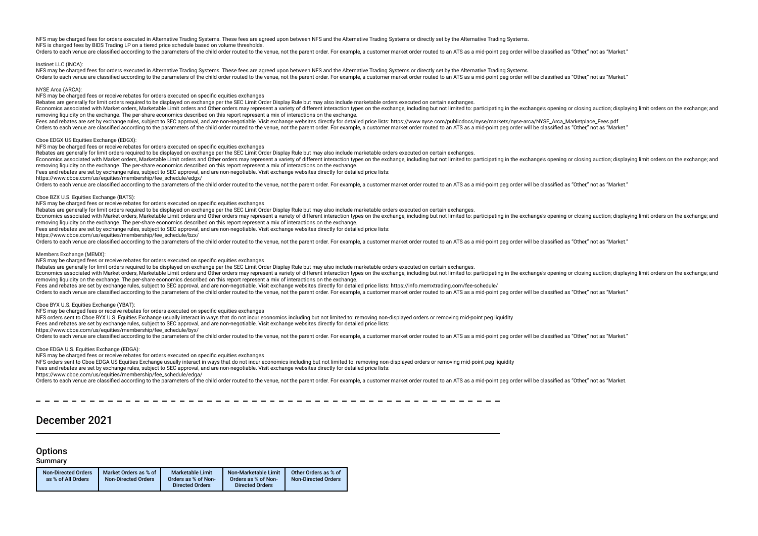NFS may be charged fees for orders executed in Alternative Trading Systems. These fees are agreed upon between NFS and the Alternative Trading Systems or directly set by the Alternative Trading Systems. NFS is charged fees by BIDS Trading LP on a tiered price schedule based on volume thresholds.

Orders to each venue are classified according to the parameters of the child order routed to the venue, not the parent order. For example, a customer market order routed to an ATS as a mid-point peg order will be classifie

#### Instinet LLC (INCA):

NFS may be charged fees for orders executed in Alternative Trading Systems. These fees are agreed upon between NFS and the Alternative Trading Systems or directly set by the Alternative Trading Systems. Orders to each venue are classified according to the parameters of the child order routed to the venue, not the parent order. For example, a customer market order routed to an ATS as a mid-point peg order will be classifie

#### NYSE Arca (ARCA):

NFS may be charged fees or receive rebates for orders executed on specifc equities exchanges

Rebates are generally for limit orders required to be displayed on exchange per the SEC Limit Order Display Rule but may also include marketable orders executed on certain exchanges.

Economics associated with Market orders, Marketable Limit orders and Other orders may represent a variety of different interaction types on the exchange, including but not limited to: participating in the exchange's openin removing liquidity on the exchange. The per-share economics described on this report represent a mix of interactions on the exchange.

Fees and rebates are set by exchange rules, subject to SEC approval, and are non-negotiable. Visit exchange websites directly for detailed price lists: https://www.nyse.com/publicdocs/nyse/markets/nyse-arca/NYSE Arca Marke

Orders to each venue are classified according to the parameters of the child order routed to the venue, not the parent order. For example, a customer market order routed to an ATS as a mid-point peg order will be classifie

Cboe EDGX US Equities Exchange (EDGX):

NFS may be charged fees or receive rebates for orders executed on specifc equities exchanges

Rebates are generally for limit orders required to be displayed on exchange per the SEC Limit Order Display Rule but may also include marketable orders executed on certain exchanges.

Economics associated with Market orders, Marketable Limit orders and Other orders may represent a variety of different interaction types on the exchange, including but not limited to: participating in the exchange's openin removing liquidity on the exchange. The per-share economics described on this report represent a mix of interactions on the exchange.

Fees and rebates are set by exchange rules, subject to SEC approval, and are non-negotiable. Visit exchange websites directly for detailed price lists:

https://www.cboe.com/us/equities/membership/fee\_schedule/edgx/

Curies to each venue are classified according to the parameters of the child order routed to the yenue not the parent order. For example a customer market order routed to an ATS as a mid-point peo order will be classified

#### Cboe BZX U.S. Equities Exchange (BATS):

NFS may be charged fees or receive rebates for orders executed on specifc equities exchanges

Rebates are generally for limit orders required to be displayed on exchange per the SEC Limit Order Display Rule but may also include marketable orders executed on certain exchanges.

Economics associated with Market orders, Marketable Limit orders and Other orders may represent a variety of different interaction types on the exchange, including but not limited to: participating in the exchange's openin removing liquidity on the exchange. The per-share economics described on this report represent a mix of interactions on the exchange.

Fees and rebates are set by exchange rules, subject to SEC approval, and are non-negotiable. Visit exchange websites directly for detailed price lists:

https://www.cboe.com/us/equities/membership/fee\_schedule/bzx/

Orders to each venue are classified according to the parameters of the child order routed to the venue, not the parent order. For example, a customer market order routed to an ATS as a mid-point peg order will be classifie

### Members Exchange (MEMX):

NFS may be charged fees or receive rebates for orders executed on specifc equities exchanges

Rebates are generally for limit orders required to be displayed on exchange per the SEC Limit Order Display Rule but may also include marketable orders executed on certain exchanges.

Economics associated with Market orders, Marketable Limit orders and Other orders may represent a variety of different interaction types on the exchange, including but not limited to: participating in the exchange's openin removing liquidity on the exchange. The per-share economics described on this report represent a mix of interactions on the exchange.

Fees and rebates are set by exchange rules, subject to SEC approval, and are non-negotiable. Visit exchange websites directly for detailed price lists: https://info.memxtrading.com/fee-schedule/

Orders to each venue are classified according to the parameters of the child order routed to the venue, not the parent order. For example, a customer market order routed to an ATS as a mid-point peg order will be classifie

## Cboe BYX U.S. Equities Exchange (YBAT):

NFS may be charged fees or receive rebates for orders executed on specifc equities exchanges

NFS orders sent to Cboe BYX U.S. Equities Exchange usually interact in ways that do not incur economics including but not limited to: removing non-displayed orders or removing mid-point peg liquidity

Fees and rebates are set by exchange rules, subject to SEC approval, and are non-negotiable. Visit exchange websites directly for detailed price lists:

https://www.cboe.com/us/equities/membership/fee\_schedule/byx/

Orders to each venue are classified according to the parameters of the child order routed to the venue, not the parent order. For example, a customer market order routed to an ATS as a mid-point peg order will be classifie

## Cboe EDGA U.S. Equities Exchange (EDGA):

NFS may be charged fees or receive rebates for orders executed on specifc equities exchanges

NFS orders sent to Cboe EDGA US Equities Exchange usually interact in ways that do not incur economics including but not limited to: removing non-displayed orders or removing mid-point peg liquidity

Fees and rebates are set by exchange rules, subject to SEC approval, and are non-negotiable. Visit exchange websites directly for detailed price lists:

https://www.cboe.com/us/equities/membership/fee\_schedule/edga/

Orders to each venue are classified according to the parameters of the child order routed to the venue, not the parent order. For example, a customer market order routed to an ATS as a mid-point peq order will be classifie

## December 2021

## **Options**

## Summary

| <b>Non-Directed Orders</b><br>as % of All Orders | Market Orders as % of<br><b>Non-Directed Orders</b> | <b>Marketable Limit</b><br>Orders as % of Non-<br><b>Directed Orders</b> | Non-Marketable Limit<br>Orders as % of Non-<br><b>Directed Orders</b> | Other Orders as % of<br><b>Non-Directed Orders</b> |
|--------------------------------------------------|-----------------------------------------------------|--------------------------------------------------------------------------|-----------------------------------------------------------------------|----------------------------------------------------|
|                                                  |                                                     |                                                                          |                                                                       |                                                    |